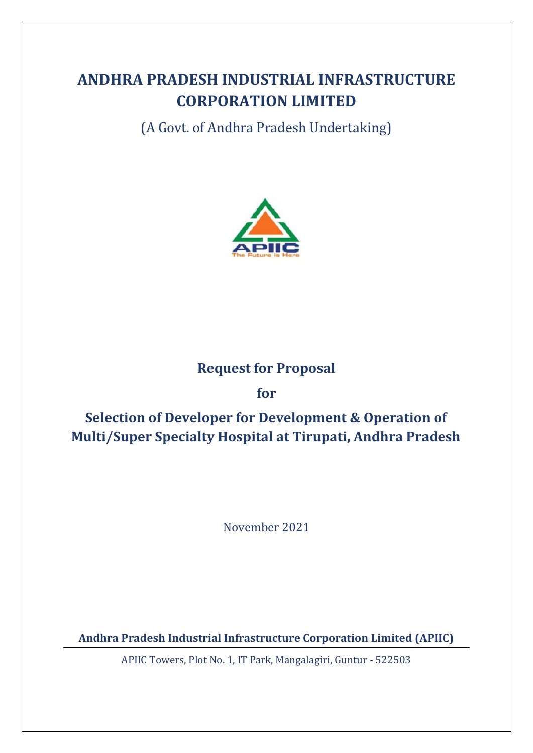# **ANDHRA PRADESH INDUSTRIAL INFRASTRUCTURE CORPORATION LIMITED**

(A Govt. of Andhra Pradesh Undertaking)



## **Request for Proposal**

## **for**

# **Selection of Developer for Development & Operation of Multi/Super Specialty Hospital at Tirupati, Andhra Pradesh**

November 2021

**Andhra Pradesh Industrial Infrastructure Corporation Limited (APIIC)**

APIIC Towers, Plot No. 1, IT Park, Mangalagiri, Guntur - 522503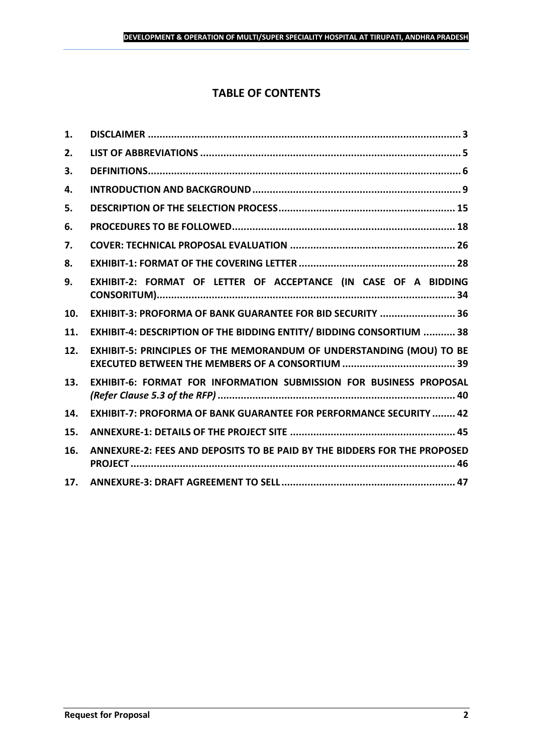## **TABLE OF CONTENTS**

| 1.  |                                                                           |
|-----|---------------------------------------------------------------------------|
| 2.  |                                                                           |
| 3.  |                                                                           |
| 4.  |                                                                           |
| 5.  |                                                                           |
| 6.  |                                                                           |
| 7.  |                                                                           |
| 8.  |                                                                           |
| 9.  | EXHIBIT-2: FORMAT OF LETTER OF ACCEPTANCE (IN CASE OF A BIDDING           |
| 10. | EXHIBIT-3: PROFORMA OF BANK GUARANTEE FOR BID SECURITY  36                |
| 11. | EXHIBIT-4: DESCRIPTION OF THE BIDDING ENTITY/ BIDDING CONSORTIUM  38      |
| 12. | EXHIBIT-5: PRINCIPLES OF THE MEMORANDUM OF UNDERSTANDING (MOU) TO BE      |
| 13. | EXHIBIT-6: FORMAT FOR INFORMATION SUBMISSION FOR BUSINESS PROPOSAL        |
| 14. | <b>EXHIBIT-7: PROFORMA OF BANK GUARANTEE FOR PERFORMANCE SECURITY  42</b> |
| 15. |                                                                           |
| 16. | ANNEXURE-2: FEES AND DEPOSITS TO BE PAID BY THE BIDDERS FOR THE PROPOSED  |
| 17. |                                                                           |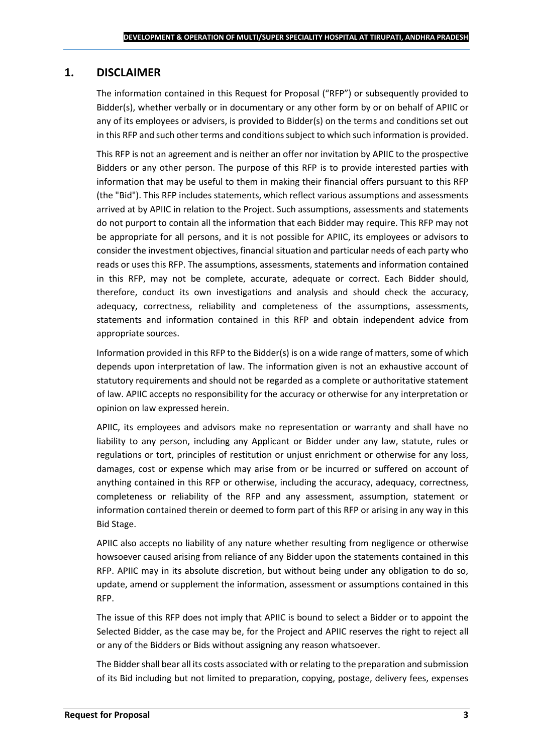## <span id="page-2-0"></span>**1. DISCLAIMER**

The information contained in this Request for Proposal ("RFP") or subsequently provided to Bidder(s), whether verbally or in documentary or any other form by or on behalf of APIIC or any of its employees or advisers, is provided to Bidder(s) on the terms and conditions set out in this RFP and such other terms and conditions subject to which such information is provided.

This RFP is not an agreement and is neither an offer nor invitation by APIIC to the prospective Bidders or any other person. The purpose of this RFP is to provide interested parties with information that may be useful to them in making their financial offers pursuant to this RFP (the "Bid"). This RFP includes statements, which reflect various assumptions and assessments arrived at by APIIC in relation to the Project. Such assumptions, assessments and statements do not purport to contain all the information that each Bidder may require. This RFP may not be appropriate for all persons, and it is not possible for APIIC, its employees or advisors to consider the investment objectives, financial situation and particular needs of each party who reads or uses this RFP. The assumptions, assessments, statements and information contained in this RFP, may not be complete, accurate, adequate or correct. Each Bidder should, therefore, conduct its own investigations and analysis and should check the accuracy, adequacy, correctness, reliability and completeness of the assumptions, assessments, statements and information contained in this RFP and obtain independent advice from appropriate sources.

Information provided in this RFP to the Bidder(s) is on a wide range of matters, some of which depends upon interpretation of law. The information given is not an exhaustive account of statutory requirements and should not be regarded as a complete or authoritative statement of law. APIIC accepts no responsibility for the accuracy or otherwise for any interpretation or opinion on law expressed herein.

APIIC, its employees and advisors make no representation or warranty and shall have no liability to any person, including any Applicant or Bidder under any law, statute, rules or regulations or tort, principles of restitution or unjust enrichment or otherwise for any loss, damages, cost or expense which may arise from or be incurred or suffered on account of anything contained in this RFP or otherwise, including the accuracy, adequacy, correctness, completeness or reliability of the RFP and any assessment, assumption, statement or information contained therein or deemed to form part of this RFP or arising in any way in this Bid Stage.

APIIC also accepts no liability of any nature whether resulting from negligence or otherwise howsoever caused arising from reliance of any Bidder upon the statements contained in this RFP. APIIC may in its absolute discretion, but without being under any obligation to do so, update, amend or supplement the information, assessment or assumptions contained in this RFP.

The issue of this RFP does not imply that APIIC is bound to select a Bidder or to appoint the Selected Bidder, as the case may be, for the Project and APIIC reserves the right to reject all or any of the Bidders or Bids without assigning any reason whatsoever.

The Bidder shall bear all its costs associated with or relating to the preparation and submission of its Bid including but not limited to preparation, copying, postage, delivery fees, expenses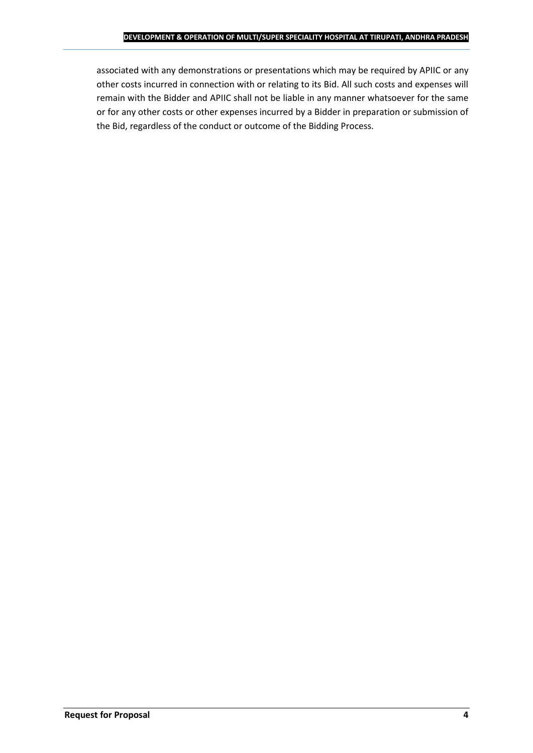associated with any demonstrations or presentations which may be required by APIIC or any other costs incurred in connection with or relating to its Bid. All such costs and expenses will remain with the Bidder and APIIC shall not be liable in any manner whatsoever for the same or for any other costs or other expenses incurred by a Bidder in preparation or submission of the Bid, regardless of the conduct or outcome of the Bidding Process.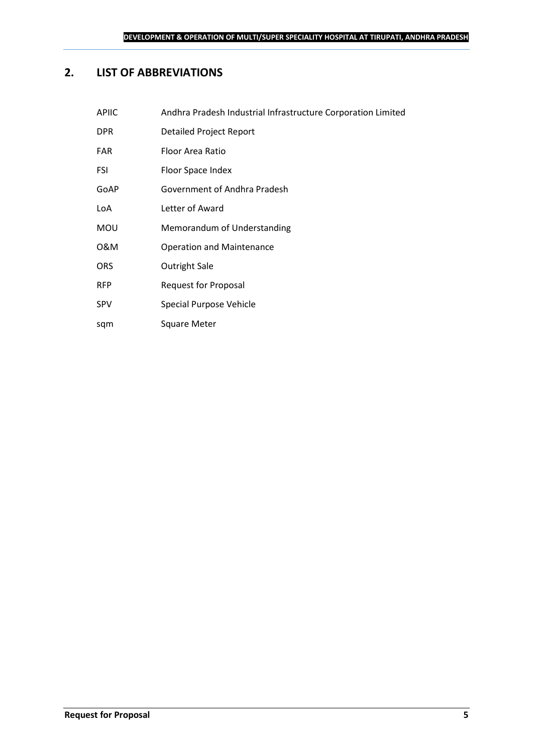## <span id="page-4-0"></span>**2. LIST OF ABBREVIATIONS**

sqm Square Meter

| <b>APIIC</b> | Andhra Pradesh Industrial Infrastructure Corporation Limited |
|--------------|--------------------------------------------------------------|
| <b>DPR</b>   | Detailed Project Report                                      |
| <b>FAR</b>   | Floor Area Ratio                                             |
| FSI          | Floor Space Index                                            |
| GoAP         | Government of Andhra Pradesh                                 |
| LoA          | Letter of Award                                              |
| <b>MOU</b>   | Memorandum of Understanding                                  |
| 0&M          | <b>Operation and Maintenance</b>                             |
| <b>ORS</b>   | Outright Sale                                                |
| <b>RFP</b>   | <b>Request for Proposal</b>                                  |
| <b>SPV</b>   | Special Purpose Vehicle                                      |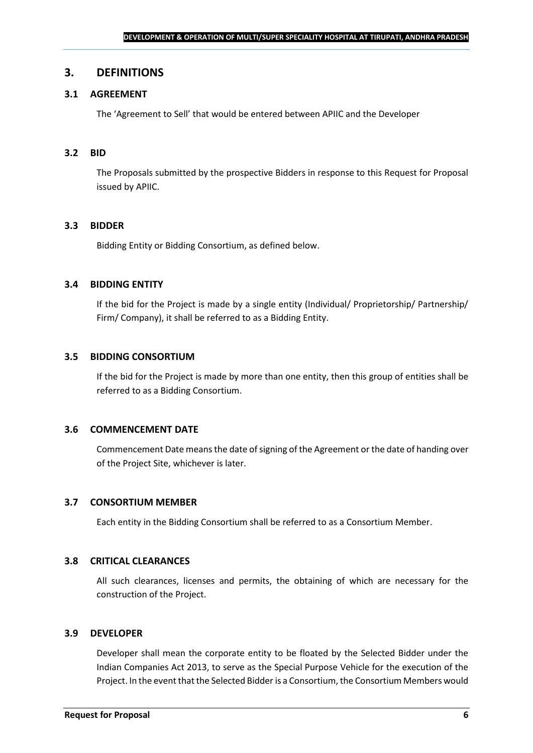#### <span id="page-5-0"></span>**3. DEFINITIONS**

#### **3.1 AGREEMENT**

The 'Agreement to Sell' that would be entered between APIIC and the Developer

#### **3.2 BID**

The Proposals submitted by the prospective Bidders in response to this Request for Proposal issued by APIIC.

#### **3.3 BIDDER**

Bidding Entity or Bidding Consortium, as defined below.

#### **3.4 BIDDING ENTITY**

If the bid for the Project is made by a single entity (Individual/ Proprietorship/ Partnership/ Firm/ Company), it shall be referred to as a Bidding Entity.

#### **3.5 BIDDING CONSORTIUM**

If the bid for the Project is made by more than one entity, then this group of entities shall be referred to as a Bidding Consortium.

#### **3.6 COMMENCEMENT DATE**

Commencement Date means the date of signing of the Agreement or the date of handing over of the Project Site, whichever is later.

#### **3.7 CONSORTIUM MEMBER**

Each entity in the Bidding Consortium shall be referred to as a Consortium Member.

#### **3.8 CRITICAL CLEARANCES**

All such clearances, licenses and permits, the obtaining of which are necessary for the construction of the Project.

#### **3.9 DEVELOPER**

Developer shall mean the corporate entity to be floated by the Selected Bidder under the Indian Companies Act 2013, to serve as the Special Purpose Vehicle for the execution of the Project. In the event that the Selected Bidder is a Consortium, the Consortium Members would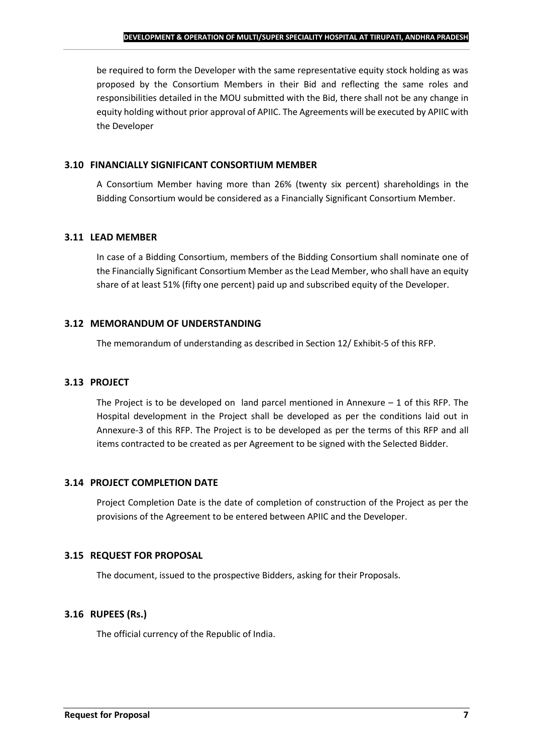be required to form the Developer with the same representative equity stock holding as was proposed by the Consortium Members in their Bid and reflecting the same roles and responsibilities detailed in the MOU submitted with the Bid, there shall not be any change in equity holding without prior approval of APIIC. The Agreements will be executed by APIIC with the Developer

#### **3.10 FINANCIALLY SIGNIFICANT CONSORTIUM MEMBER**

A Consortium Member having more than 26% (twenty six percent) shareholdings in the Bidding Consortium would be considered as a Financially Significant Consortium Member.

#### **3.11 LEAD MEMBER**

In case of a Bidding Consortium, members of the Bidding Consortium shall nominate one of the Financially Significant Consortium Member as the Lead Member, who shall have an equity share of at least 51% (fifty one percent) paid up and subscribed equity of the Developer.

#### **3.12 MEMORANDUM OF UNDERSTANDING**

The memorandum of understanding as described in Section 12/ Exhibit-5 of this RFP.

#### **3.13 PROJECT**

The Project is to be developed on land parcel mentioned in Annexure  $-1$  of this RFP. The Hospital development in the Project shall be developed as per the conditions laid out in Annexure-3 of this RFP. The Project is to be developed as per the terms of this RFP and all items contracted to be created as per Agreement to be signed with the Selected Bidder.

#### **3.14 PROJECT COMPLETION DATE**

Project Completion Date is the date of completion of construction of the Project as per the provisions of the Agreement to be entered between APIIC and the Developer.

#### **3.15 REQUEST FOR PROPOSAL**

The document, issued to the prospective Bidders, asking for their Proposals.

#### **3.16 RUPEES (Rs.)**

The official currency of the Republic of India.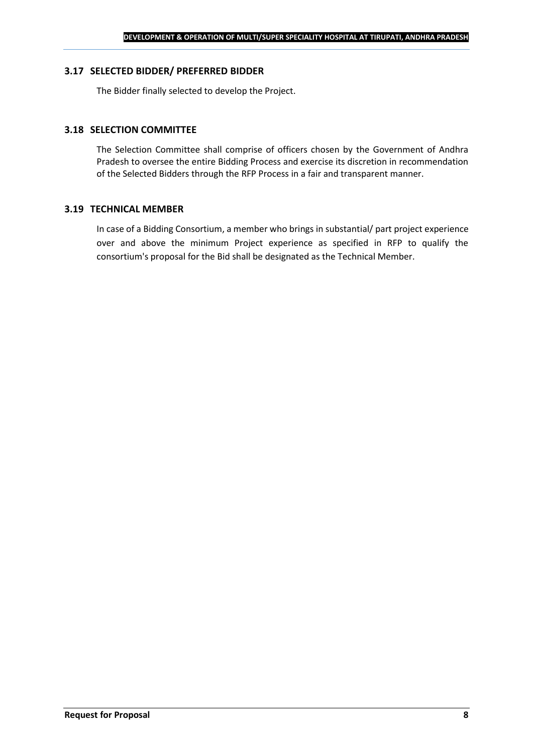#### **3.17 SELECTED BIDDER/ PREFERRED BIDDER**

The Bidder finally selected to develop the Project.

#### **3.18 SELECTION COMMITTEE**

The Selection Committee shall comprise of officers chosen by the Government of Andhra Pradesh to oversee the entire Bidding Process and exercise its discretion in recommendation of the Selected Bidders through the RFP Process in a fair and transparent manner.

#### **3.19 TECHNICAL MEMBER**

In case of a Bidding Consortium, a member who brings in substantial/ part project experience over and above the minimum Project experience as specified in RFP to qualify the consortium's proposal for the Bid shall be designated as the Technical Member.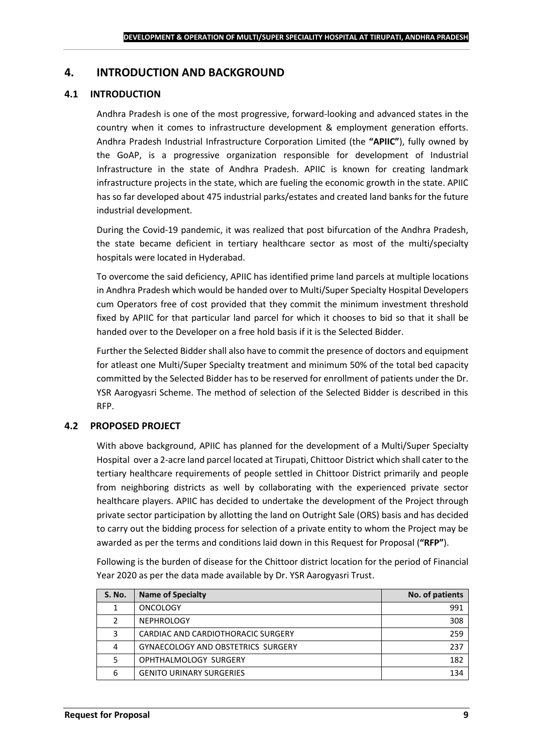## <span id="page-8-0"></span>**4. INTRODUCTION AND BACKGROUND**

#### **4.1 INTRODUCTION**

Andhra Pradesh is one of the most progressive, forward-looking and advanced states in the country when it comes to infrastructure development & employment generation efforts. Andhra Pradesh Industrial Infrastructure Corporation Limited (the **"APIIC"**), fully owned by the GoAP, is a progressive organization responsible for development of Industrial Infrastructure in the state of Andhra Pradesh. APIIC is known for creating landmark infrastructure projects in the state, which are fueling the economic growth in the state. APIIC has so far developed about 475 industrial parks/estates and created land banks for the future industrial development.

During the Covid-19 pandemic, it was realized that post bifurcation of the Andhra Pradesh, the state became deficient in tertiary healthcare sector as most of the multi/specialty hospitals were located in Hyderabad.

To overcome the said deficiency, APIIC has identified prime land parcels at multiple locations in Andhra Pradesh which would be handed over to Multi/Super Specialty Hospital Developers cum Operators free of cost provided that they commit the minimum investment threshold fixed by APIIC for that particular land parcel for which it chooses to bid so that it shall be handed over to the Developer on a free hold basis if it is the Selected Bidder.

Further the Selected Bidder shall also have to commit the presence of doctors and equipment for atleast one Multi/Super Specialty treatment and minimum 50% of the total bed capacity committed by the Selected Bidder has to be reserved for enrollment of patients under the Dr. YSR Aarogyasri Scheme. The method of selection of the Selected Bidder is described in this RFP.

#### **4.2 PROPOSED PROJECT**

With above background, APIIC has planned for the development of a Multi/Super Specialty Hospital over a 2-acre land parcel located at Tirupati, Chittoor District which shall cater to the tertiary healthcare requirements of people settled in Chittoor District primarily and people from neighboring districts as well by collaborating with the experienced private sector healthcare players. APIIC has decided to undertake the development of the Project through private sector participation by allotting the land on Outright Sale (ORS) basis and has decided to carry out the bidding process for selection of a private entity to whom the Project may be awarded as per the terms and conditions laid down in this Request for Proposal (**"RFP"**).

Following is the burden of disease for the Chittoor district location for the period of Financial Year 2020 as per the data made available by Dr. YSR Aarogyasri Trust.

| <b>S. No.</b> | <b>Name of Specialty</b>           | No. of patients |
|---------------|------------------------------------|-----------------|
|               | <b>ONCOLOGY</b>                    | 991             |
|               | <b>NEPHROLOGY</b>                  | 308             |
| 3             | CARDIAC AND CARDIOTHORACIC SURGERY | 259             |
| 4             | GYNAECOLOGY AND OBSTETRICS SURGERY | 237             |
|               | OPHTHALMOLOGY SURGERY              | 182             |
| 6             | <b>GENITO URINARY SURGERIES</b>    | 134             |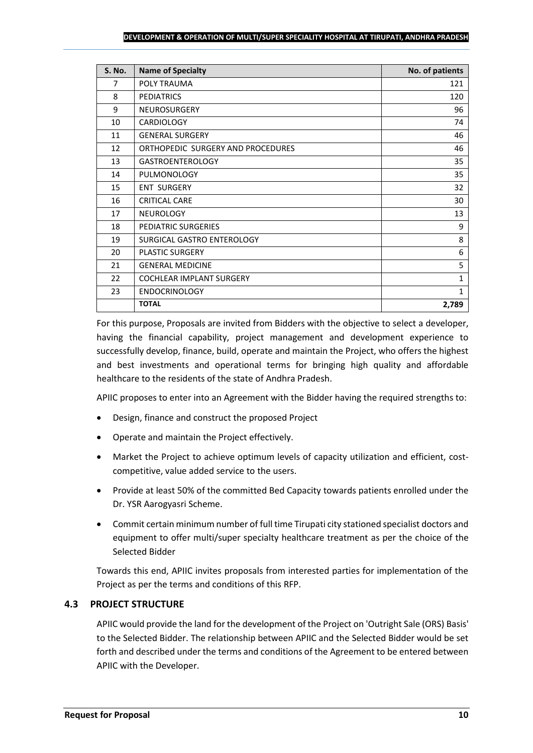#### **DEVELOPMENT & OPERATION OF MULTI/SUPER SPECIALITY HOSPITAL AT TIRUPATI, ANDHRA PRADESH**

| <b>S. No.</b> | <b>Name of Specialty</b>          | No. of patients |
|---------------|-----------------------------------|-----------------|
| 7             | POLY TRAUMA                       | 121             |
| 8             | <b>PEDIATRICS</b>                 | 120             |
| 9             | <b>NEUROSURGERY</b>               | 96              |
| 10            | <b>CARDIOLOGY</b>                 | 74              |
| 11            | <b>GENERAL SURGERY</b>            | 46              |
| 12            | ORTHOPEDIC SURGERY AND PROCEDURES | 46              |
| 13            | <b>GASTROENTEROLOGY</b>           | 35              |
| 14            | PULMONOLOGY                       | 35              |
| 15            | <b>ENT SURGERY</b>                | 32              |
| 16            | <b>CRITICAL CARE</b>              | 30              |
| 17            | <b>NEUROLOGY</b>                  | 13              |
| 18            | PEDIATRIC SURGERIES               | 9               |
| 19            | SURGICAL GASTRO ENTEROLOGY        | 8               |
| 20            | PLASTIC SURGERY                   | 6               |
| 21            | <b>GENERAL MEDICINE</b>           | 5               |
| 22            | <b>COCHLEAR IMPLANT SURGERY</b>   | $\mathbf{1}$    |
| 23            | <b>ENDOCRINOLOGY</b>              | $\mathbf{1}$    |
|               | <b>TOTAL</b>                      | 2,789           |

For this purpose, Proposals are invited from Bidders with the objective to select a developer, having the financial capability, project management and development experience to successfully develop, finance, build, operate and maintain the Project, who offers the highest and best investments and operational terms for bringing high quality and affordable healthcare to the residents of the state of Andhra Pradesh.

APIIC proposes to enter into an Agreement with the Bidder having the required strengths to:

- Design, finance and construct the proposed Project
- Operate and maintain the Project effectively.
- Market the Project to achieve optimum levels of capacity utilization and efficient, costcompetitive, value added service to the users.
- Provide at least 50% of the committed Bed Capacity towards patients enrolled under the Dr. YSR Aarogyasri Scheme.
- Commit certain minimum number of full time Tirupati city stationed specialist doctors and equipment to offer multi/super specialty healthcare treatment as per the choice of the Selected Bidder

Towards this end, APIIC invites proposals from interested parties for implementation of the Project as per the terms and conditions of this RFP.

#### **4.3 PROJECT STRUCTURE**

APIIC would provide the land for the development of the Project on 'Outright Sale (ORS) Basis' to the Selected Bidder. The relationship between APIIC and the Selected Bidder would be set forth and described under the terms and conditions of the Agreement to be entered between APIIC with the Developer.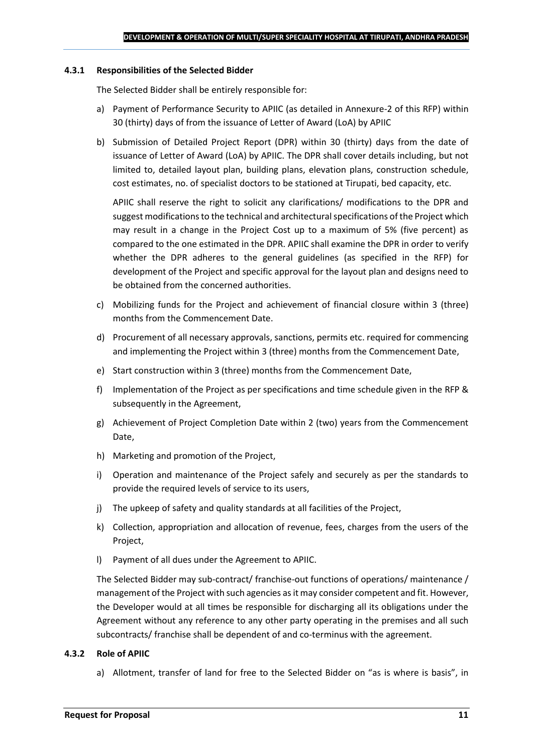#### **4.3.1 Responsibilities of the Selected Bidder**

The Selected Bidder shall be entirely responsible for:

- a) Payment of Performance Security to APIIC (as detailed in Annexure-2 of this RFP) within 30 (thirty) days of from the issuance of Letter of Award (LoA) by APIIC
- b) Submission of Detailed Project Report (DPR) within 30 (thirty) days from the date of issuance of Letter of Award (LoA) by APIIC. The DPR shall cover details including, but not limited to, detailed layout plan, building plans, elevation plans, construction schedule, cost estimates, no. of specialist doctors to be stationed at Tirupati, bed capacity, etc.

APIIC shall reserve the right to solicit any clarifications/ modifications to the DPR and suggest modifications to the technical and architectural specifications of the Project which may result in a change in the Project Cost up to a maximum of 5% (five percent) as compared to the one estimated in the DPR. APIIC shall examine the DPR in order to verify whether the DPR adheres to the general guidelines (as specified in the RFP) for development of the Project and specific approval for the layout plan and designs need to be obtained from the concerned authorities.

- c) Mobilizing funds for the Project and achievement of financial closure within 3 (three) months from the Commencement Date.
- d) Procurement of all necessary approvals, sanctions, permits etc. required for commencing and implementing the Project within 3 (three) months from the Commencement Date,
- e) Start construction within 3 (three) months from the Commencement Date,
- f) Implementation of the Project as per specifications and time schedule given in the RFP & subsequently in the Agreement,
- g) Achievement of Project Completion Date within 2 (two) years from the Commencement Date,
- h) Marketing and promotion of the Project,
- i) Operation and maintenance of the Project safely and securely as per the standards to provide the required levels of service to its users,
- j) The upkeep of safety and quality standards at all facilities of the Project,
- k) Collection, appropriation and allocation of revenue, fees, charges from the users of the Project,
- l) Payment of all dues under the Agreement to APIIC.

The Selected Bidder may sub-contract/ franchise-out functions of operations/ maintenance / management of the Project with such agencies as it may consider competent and fit. However, the Developer would at all times be responsible for discharging all its obligations under the Agreement without any reference to any other party operating in the premises and all such subcontracts/ franchise shall be dependent of and co-terminus with the agreement.

#### **4.3.2 Role of APIIC**

a) Allotment, transfer of land for free to the Selected Bidder on "as is where is basis", in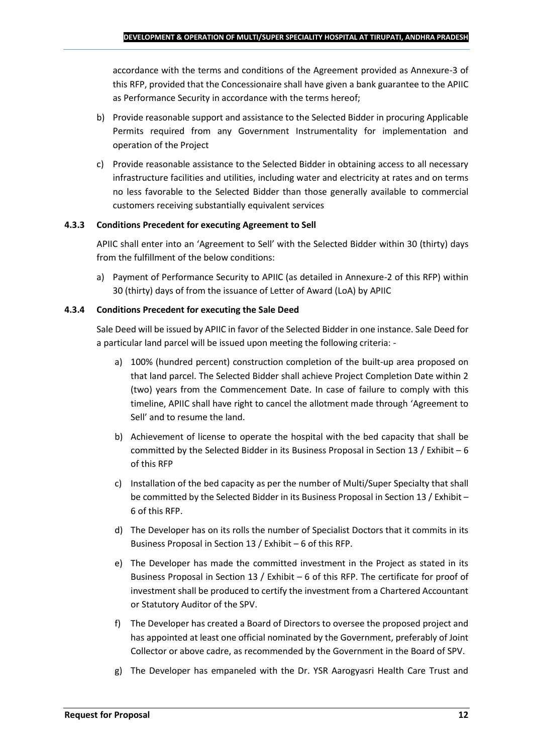accordance with the terms and conditions of the Agreement provided as Annexure-3 of this RFP, provided that the Concessionaire shall have given a bank guarantee to the APIIC as Performance Security in accordance with the terms hereof;

- b) Provide reasonable support and assistance to the Selected Bidder in procuring Applicable Permits required from any Government Instrumentality for implementation and operation of the Project
- c) Provide reasonable assistance to the Selected Bidder in obtaining access to all necessary infrastructure facilities and utilities, including water and electricity at rates and on terms no less favorable to the Selected Bidder than those generally available to commercial customers receiving substantially equivalent services

#### **4.3.3 Conditions Precedent for executing Agreement to Sell**

APIIC shall enter into an 'Agreement to Sell' with the Selected Bidder within 30 (thirty) days from the fulfillment of the below conditions:

a) Payment of Performance Security to APIIC (as detailed in Annexure-2 of this RFP) within 30 (thirty) days of from the issuance of Letter of Award (LoA) by APIIC

#### **4.3.4 Conditions Precedent for executing the Sale Deed**

Sale Deed will be issued by APIIC in favor of the Selected Bidder in one instance. Sale Deed for a particular land parcel will be issued upon meeting the following criteria: -

- a) 100% (hundred percent) construction completion of the built-up area proposed on that land parcel. The Selected Bidder shall achieve Project Completion Date within 2 (two) years from the Commencement Date. In case of failure to comply with this timeline, APIIC shall have right to cancel the allotment made through 'Agreement to Sell' and to resume the land.
- b) Achievement of license to operate the hospital with the bed capacity that shall be committed by the Selected Bidder in its Business Proposal in Section 13 / Exhibit – 6 of this RFP
- c) Installation of the bed capacity as per the number of Multi/Super Specialty that shall be committed by the Selected Bidder in its Business Proposal in Section 13 / Exhibit – 6 of this RFP.
- d) The Developer has on its rolls the number of Specialist Doctors that it commits in its Business Proposal in Section 13 / Exhibit – 6 of this RFP.
- e) The Developer has made the committed investment in the Project as stated in its Business Proposal in Section 13 / Exhibit – 6 of this RFP. The certificate for proof of investment shall be produced to certify the investment from a Chartered Accountant or Statutory Auditor of the SPV.
- f) The Developer has created a Board of Directors to oversee the proposed project and has appointed at least one official nominated by the Government, preferably of Joint Collector or above cadre, as recommended by the Government in the Board of SPV.
- g) The Developer has empaneled with the Dr. YSR Aarogyasri Health Care Trust and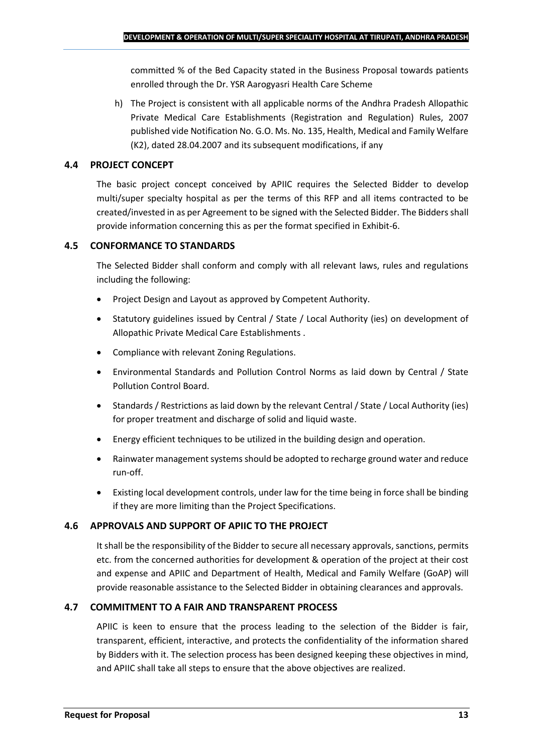committed % of the Bed Capacity stated in the Business Proposal towards patients enrolled through the Dr. YSR Aarogyasri Health Care Scheme

h) The Project is consistent with all applicable norms of the Andhra Pradesh Allopathic Private Medical Care Establishments (Registration and Regulation) Rules, 2007 published vide Notification No. G.O. Ms. No. 135, Health, Medical and Family Welfare (K2), dated 28.04.2007 and its subsequent modifications, if any

## **4.4 PROJECT CONCEPT**

The basic project concept conceived by APIIC requires the Selected Bidder to develop multi/super specialty hospital as per the terms of this RFP and all items contracted to be created/invested in as per Agreement to be signed with the Selected Bidder. The Bidders shall provide information concerning this as per the format specified in Exhibit-6.

## **4.5 CONFORMANCE TO STANDARDS**

The Selected Bidder shall conform and comply with all relevant laws, rules and regulations including the following:

- Project Design and Layout as approved by Competent Authority.
- Statutory guidelines issued by Central / State / Local Authority (ies) on development of Allopathic Private Medical Care Establishments .
- Compliance with relevant Zoning Regulations.
- Environmental Standards and Pollution Control Norms as laid down by Central / State Pollution Control Board.
- Standards / Restrictions as laid down by the relevant Central / State / Local Authority (ies) for proper treatment and discharge of solid and liquid waste.
- Energy efficient techniques to be utilized in the building design and operation.
- Rainwater management systems should be adopted to recharge ground water and reduce run-off.
- Existing local development controls, under law for the time being in force shall be binding if they are more limiting than the Project Specifications.

## **4.6 APPROVALS AND SUPPORT OF APIIC TO THE PROJECT**

It shall be the responsibility of the Bidder to secure all necessary approvals, sanctions, permits etc. from the concerned authorities for development & operation of the project at their cost and expense and APIIC and Department of Health, Medical and Family Welfare (GoAP) will provide reasonable assistance to the Selected Bidder in obtaining clearances and approvals.

#### **4.7 COMMITMENT TO A FAIR AND TRANSPARENT PROCESS**

APIIC is keen to ensure that the process leading to the selection of the Bidder is fair, transparent, efficient, interactive, and protects the confidentiality of the information shared by Bidders with it. The selection process has been designed keeping these objectives in mind, and APIIC shall take all steps to ensure that the above objectives are realized.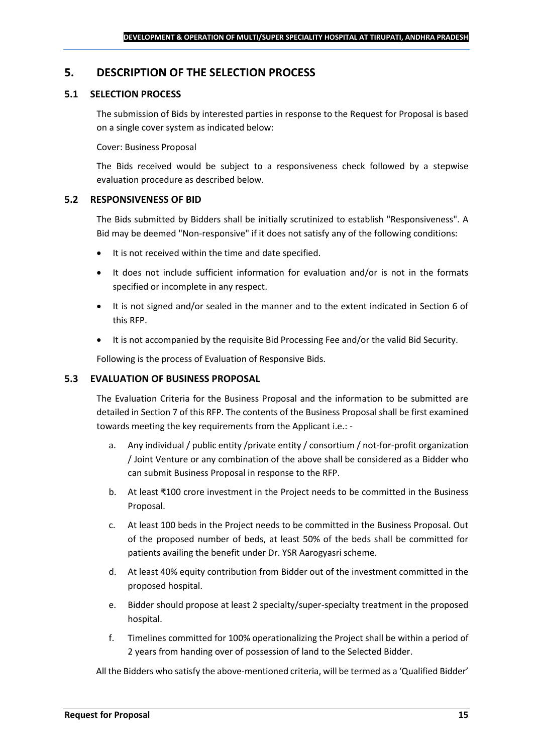### <span id="page-14-0"></span>**5. DESCRIPTION OF THE SELECTION PROCESS**

#### **5.1 SELECTION PROCESS**

The submission of Bids by interested parties in response to the Request for Proposal is based on a single cover system as indicated below:

#### Cover: Business Proposal

The Bids received would be subject to a responsiveness check followed by a stepwise evaluation procedure as described below.

#### **5.2 RESPONSIVENESS OF BID**

The Bids submitted by Bidders shall be initially scrutinized to establish "Responsiveness". A Bid may be deemed "Non-responsive" if it does not satisfy any of the following conditions:

- It is not received within the time and date specified.
- It does not include sufficient information for evaluation and/or is not in the formats specified or incomplete in any respect.
- It is not signed and/or sealed in the manner and to the extent indicated in Section 6 of this RFP.
- It is not accompanied by the requisite Bid Processing Fee and/or the valid Bid Security.

Following is the process of Evaluation of Responsive Bids.

#### **5.3 EVALUATION OF BUSINESS PROPOSAL**

The Evaluation Criteria for the Business Proposal and the information to be submitted are detailed in Section 7 of this RFP. The contents of the Business Proposal shall be first examined towards meeting the key requirements from the Applicant i.e.: -

- a. Any individual / public entity / private entity / consortium / not-for-profit organization / Joint Venture or any combination of the above shall be considered as a Bidder who can submit Business Proposal in response to the RFP.
- b. At least ₹100 crore investment in the Project needs to be committed in the Business Proposal.
- c. At least 100 beds in the Project needs to be committed in the Business Proposal. Out of the proposed number of beds, at least 50% of the beds shall be committed for patients availing the benefit under Dr. YSR Aarogyasri scheme.
- d. At least 40% equity contribution from Bidder out of the investment committed in the proposed hospital.
- e. Bidder should propose at least 2 specialty/super-specialty treatment in the proposed hospital.
- f. Timelines committed for 100% operationalizing the Project shall be within a period of 2 years from handing over of possession of land to the Selected Bidder.

All the Bidders who satisfy the above-mentioned criteria, will be termed as a 'Qualified Bidder'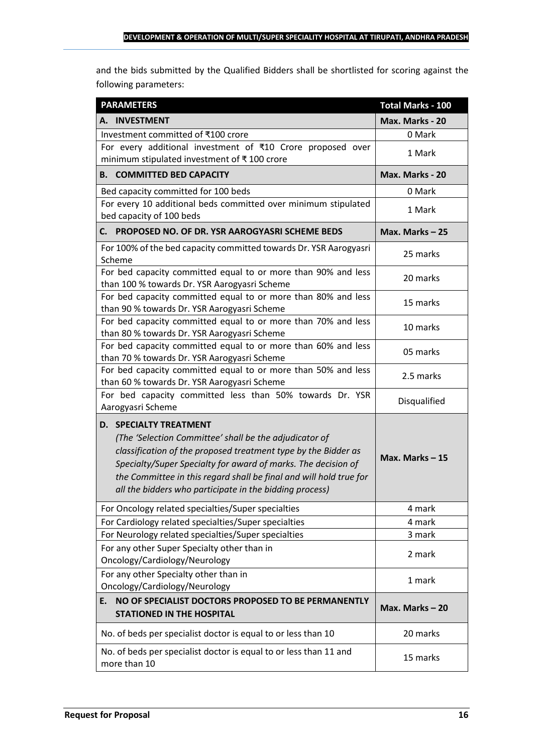and the bids submitted by the Qualified Bidders shall be shortlisted for scoring against the following parameters:

| <b>PARAMETERS</b>                                                                                                                                                                                                                                                                                                                                           | <b>Total Marks - 100</b> |
|-------------------------------------------------------------------------------------------------------------------------------------------------------------------------------------------------------------------------------------------------------------------------------------------------------------------------------------------------------------|--------------------------|
| A. INVESTMENT                                                                                                                                                                                                                                                                                                                                               | Max. Marks - 20          |
| Investment committed of ₹100 crore                                                                                                                                                                                                                                                                                                                          | 0 Mark                   |
| For every additional investment of ₹10 Crore proposed over<br>minimum stipulated investment of ₹100 crore                                                                                                                                                                                                                                                   | 1 Mark                   |
| <b>B. COMMITTED BED CAPACITY</b>                                                                                                                                                                                                                                                                                                                            | Max. Marks - 20          |
| Bed capacity committed for 100 beds                                                                                                                                                                                                                                                                                                                         | 0 Mark                   |
| For every 10 additional beds committed over minimum stipulated<br>bed capacity of 100 beds                                                                                                                                                                                                                                                                  | 1 Mark                   |
| PROPOSED NO. OF DR. YSR AAROGYASRI SCHEME BEDS<br>С. —                                                                                                                                                                                                                                                                                                      | Max. Marks-25            |
| For 100% of the bed capacity committed towards Dr. YSR Aarogyasri<br>Scheme                                                                                                                                                                                                                                                                                 | 25 marks                 |
| For bed capacity committed equal to or more than 90% and less<br>than 100 % towards Dr. YSR Aarogyasri Scheme                                                                                                                                                                                                                                               | 20 marks                 |
| For bed capacity committed equal to or more than 80% and less<br>than 90 % towards Dr. YSR Aarogyasri Scheme                                                                                                                                                                                                                                                | 15 marks                 |
| For bed capacity committed equal to or more than 70% and less<br>than 80 % towards Dr. YSR Aarogyasri Scheme                                                                                                                                                                                                                                                | 10 marks                 |
| For bed capacity committed equal to or more than 60% and less<br>than 70 % towards Dr. YSR Aarogyasri Scheme                                                                                                                                                                                                                                                | 05 marks                 |
| For bed capacity committed equal to or more than 50% and less<br>than 60 % towards Dr. YSR Aarogyasri Scheme                                                                                                                                                                                                                                                | 2.5 marks                |
| For bed capacity committed less than 50% towards Dr. YSR<br>Aarogyasri Scheme                                                                                                                                                                                                                                                                               | Disqualified             |
| <b>D. SPECIALTY TREATMENT</b><br>(The 'Selection Committee' shall be the adjudicator of<br>classification of the proposed treatment type by the Bidder as<br>Specialty/Super Specialty for award of marks. The decision of<br>the Committee in this regard shall be final and will hold true for<br>all the bidders who participate in the bidding process) | Max. Marks-15            |
| For Oncology related specialties/Super specialties                                                                                                                                                                                                                                                                                                          | 4 mark                   |
| For Cardiology related specialties/Super specialties                                                                                                                                                                                                                                                                                                        | 4 mark                   |
| For Neurology related specialties/Super specialties                                                                                                                                                                                                                                                                                                         | 3 mark                   |
| For any other Super Specialty other than in<br>Oncology/Cardiology/Neurology                                                                                                                                                                                                                                                                                | 2 mark                   |
| For any other Specialty other than in<br>Oncology/Cardiology/Neurology                                                                                                                                                                                                                                                                                      | 1 mark                   |
| NO OF SPECIALIST DOCTORS PROPOSED TO BE PERMANENTLY<br>E.<br><b>STATIONED IN THE HOSPITAL</b>                                                                                                                                                                                                                                                               | Max. Marks - 20          |
| No. of beds per specialist doctor is equal to or less than 10                                                                                                                                                                                                                                                                                               | 20 marks                 |
| No. of beds per specialist doctor is equal to or less than 11 and<br>more than 10                                                                                                                                                                                                                                                                           | 15 marks                 |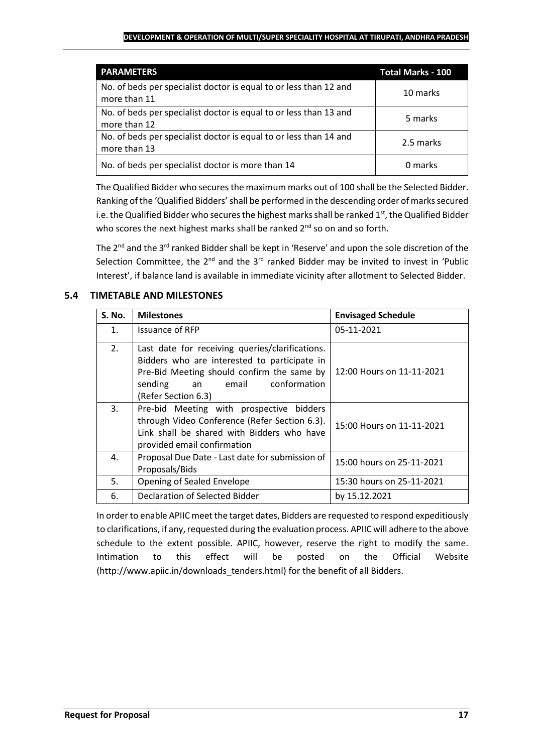#### **DEVELOPMENT & OPERATION OF MULTI/SUPER SPECIALITY HOSPITAL AT TIRUPATI, ANDHRA PRADESH**

| <b>PARAMETERS</b>                                                                 | <b>Total Marks - 100</b> |
|-----------------------------------------------------------------------------------|--------------------------|
| No. of beds per specialist doctor is equal to or less than 12 and<br>more than 11 | 10 marks                 |
| No. of beds per specialist doctor is equal to or less than 13 and<br>more than 12 | 5 marks                  |
| No. of beds per specialist doctor is equal to or less than 14 and<br>more than 13 | 2.5 marks                |
| No. of beds per specialist doctor is more than 14                                 | 0 marks                  |

The Qualified Bidder who securesthe maximum marks out of 100 shall be the Selected Bidder. Ranking of the 'Qualified Bidders'shall be performed in the descending order of marks secured i.e. the Qualified Bidder who secures the highest marks shall be ranked  $1<sup>st</sup>$ , the Qualified Bidder who scores the next highest marks shall be ranked 2<sup>nd</sup> so on and so forth.

The 2<sup>nd</sup> and the 3<sup>rd</sup> ranked Bidder shall be kept in 'Reserve' and upon the sole discretion of the Selection Committee, the  $2^{nd}$  and the  $3^{rd}$  ranked Bidder may be invited to invest in 'Public Interest', if balance land is available in immediate vicinity after allotment to Selected Bidder.

## **5.4 TIMETABLE AND MILESTONES**

| <b>S. No.</b>  | <b>Milestones</b>                                                                                                                                                                                              | <b>Envisaged Schedule</b> |
|----------------|----------------------------------------------------------------------------------------------------------------------------------------------------------------------------------------------------------------|---------------------------|
| $\mathbf{1}$ . | <b>Issuance of RFP</b>                                                                                                                                                                                         | 05-11-2021                |
| 2.             | Last date for receiving queries/clarifications.<br>Bidders who are interested to participate in<br>Pre-Bid Meeting should confirm the same by<br>conformation<br>sending<br>email<br>an<br>(Refer Section 6.3) | 12:00 Hours on 11-11-2021 |
| 3.             | Pre-bid Meeting with prospective bidders<br>through Video Conference (Refer Section 6.3).<br>Link shall be shared with Bidders who have<br>provided email confirmation                                         | 15:00 Hours on 11-11-2021 |
| 4.             | Proposal Due Date - Last date for submission of<br>Proposals/Bids                                                                                                                                              | 15:00 hours on 25-11-2021 |
| 5.             | Opening of Sealed Envelope                                                                                                                                                                                     | 15:30 hours on 25-11-2021 |
| 6.             | Declaration of Selected Bidder                                                                                                                                                                                 | by 15.12.2021             |

In order to enable APIIC meet the target dates, Bidders are requested to respond expeditiously to clarifications, if any, requested during the evaluation process. APIIC will adhere to the above schedule to the extent possible. APIIC, however, reserve the right to modify the same. Intimation to this effect will be posted on the Official Website (http://www.apiic.in/downloads\_tenders.html) for the benefit of all Bidders.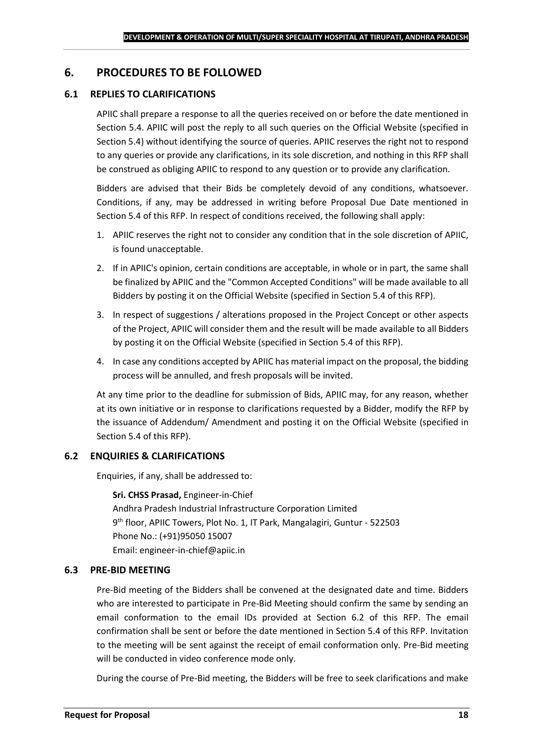### <span id="page-17-0"></span>**6. PROCEDURES TO BE FOLLOWED**

#### **6.1 REPLIES TO CLARIFICATIONS**

APIIC shall prepare a response to all the queries received on or before the date mentioned in Section 5.4. APIIC will post the reply to all such queries on the Official Website (specified in Section 5.4) without identifying the source of queries. APIIC reserves the right not to respond to any queries or provide any clarifications, in its sole discretion, and nothing in this RFP shall be construed as obliging APIIC to respond to any question or to provide any clarification.

Bidders are advised that their Bids be completely devoid of any conditions, whatsoever. Conditions, if any, may be addressed in writing before Proposal Due Date mentioned in Section 5.4 of this RFP. In respect of conditions received, the following shall apply:

- 1. APIIC reserves the right not to consider any condition that in the sole discretion of APIIC, is found unacceptable.
- 2. If in APIIC's opinion, certain conditions are acceptable, in whole or in part, the same shall be finalized by APIIC and the "Common Accepted Conditions" will be made available to all Bidders by posting it on the Official Website (specified in Section 5.4 of this RFP).
- 3. In respect of suggestions / alterations proposed in the Project Concept or other aspects of the Project, APIIC will consider them and the result will be made available to all Bidders by posting it on the Official Website (specified in Section 5.4 of this RFP).
- 4. In case any conditions accepted by APIIC has material impact on the proposal, the bidding process will be annulled, and fresh proposals will be invited.

At any time prior to the deadline for submission of Bids, APIIC may, for any reason, whether at its own initiative or in response to clarifications requested by a Bidder, modify the RFP by the issuance of Addendum/ Amendment and posting it on the Official Website (specified in Section 5.4 of this RFP).

#### **6.2 ENQUIRIES & CLARIFICATIONS**

Enquiries, if any, shall be addressed to:

**Sri. CHSS Prasad,** Engineer-in-Chief Andhra Pradesh Industrial Infrastructure Corporation Limited 9 th floor, APIIC Towers, Plot No. 1, IT Park, Mangalagiri, Guntur - 522503 Phone No.: (+91)95050 15007 Email: engineer-in-chief@apiic.in

#### **6.3 PRE-BID MEETING**

Pre-Bid meeting of the Bidders shall be convened at the designated date and time. Bidders who are interested to participate in Pre-Bid Meeting should confirm the same by sending an email conformation to the email IDs provided at Section 6.2 of this RFP. The email confirmation shall be sent or before the date mentioned in Section 5.4 of this RFP. Invitation to the meeting will be sent against the receipt of email conformation only. Pre-Bid meeting will be conducted in video conference mode only.

During the course of Pre-Bid meeting, the Bidders will be free to seek clarifications and make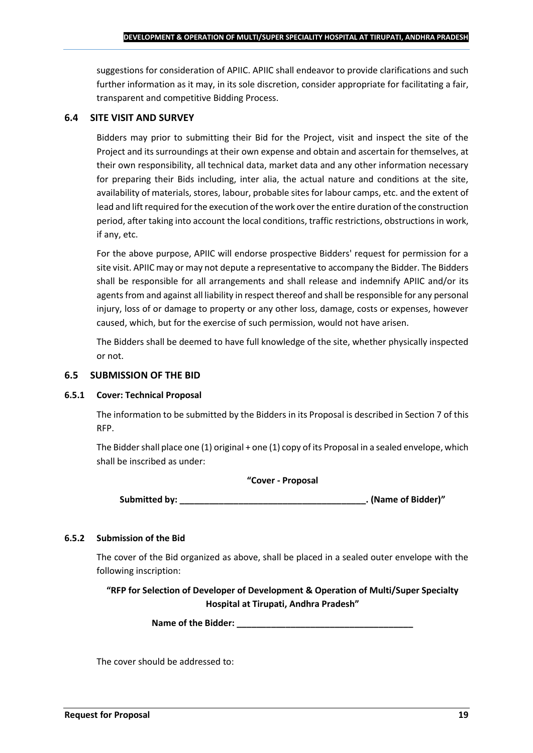suggestions for consideration of APIIC. APIIC shall endeavor to provide clarifications and such further information as it may, in its sole discretion, consider appropriate for facilitating a fair, transparent and competitive Bidding Process.

#### **6.4 SITE VISIT AND SURVEY**

Bidders may prior to submitting their Bid for the Project, visit and inspect the site of the Project and its surroundings at their own expense and obtain and ascertain for themselves, at their own responsibility, all technical data, market data and any other information necessary for preparing their Bids including, inter alia, the actual nature and conditions at the site, availability of materials, stores, labour, probable sites for labour camps, etc. and the extent of lead and lift required for the execution of the work over the entire duration of the construction period, after taking into account the local conditions, traffic restrictions, obstructions in work, if any, etc.

For the above purpose, APIIC will endorse prospective Bidders' request for permission for a site visit. APIIC may or may not depute a representative to accompany the Bidder. The Bidders shall be responsible for all arrangements and shall release and indemnify APIIC and/or its agents from and against all liability in respect thereof and shall be responsible for any personal injury, loss of or damage to property or any other loss, damage, costs or expenses, however caused, which, but for the exercise of such permission, would not have arisen.

The Bidders shall be deemed to have full knowledge of the site, whether physically inspected or not.

#### **6.5 SUBMISSION OF THE BID**

#### **6.5.1 Cover: Technical Proposal**

The information to be submitted by the Bidders in its Proposal is described in Section 7 of this RFP.

The Bidder shall place one (1) original + one (1) copy of its Proposal in a sealed envelope, which shall be inscribed as under:

#### **"Cover - Proposal**

**Submitted by: \_\_\_\_\_\_\_\_\_\_\_\_\_\_\_\_\_\_\_\_\_\_\_\_\_\_\_\_\_\_\_\_\_\_\_\_\_\_. (Name of Bidder)"**

#### **6.5.2 Submission of the Bid**

The cover of the Bid organized as above, shall be placed in a sealed outer envelope with the following inscription:

**"RFP for Selection of Developer of Development & Operation of Multi/Super Specialty Hospital at Tirupati, Andhra Pradesh"**

Name of the Bidder: **We are also asset to a set of the Bidder:** 

The cover should be addressed to: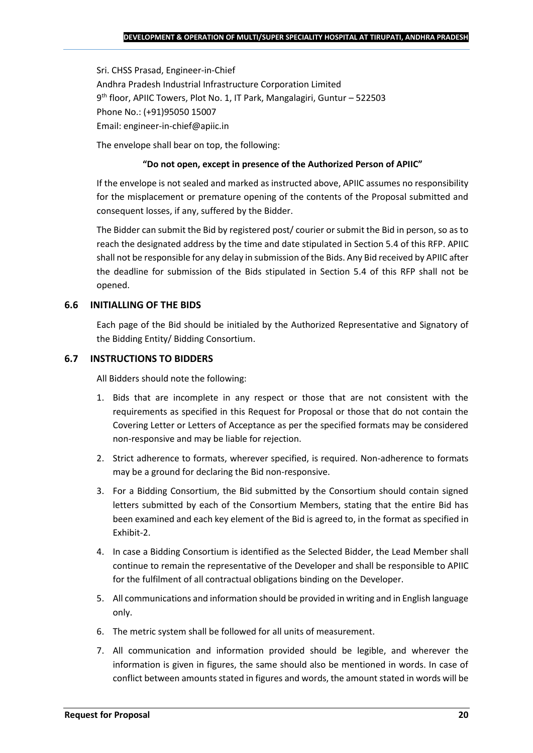Sri. CHSS Prasad, Engineer-in-Chief Andhra Pradesh Industrial Infrastructure Corporation Limited 9 th floor, APIIC Towers, Plot No. 1, IT Park, Mangalagiri, Guntur – 522503 Phone No.: (+91)95050 15007 Email: engineer-in-chief@apiic.in

The envelope shall bear on top, the following:

#### **"Do not open, except in presence of the Authorized Person of APIIC"**

If the envelope is not sealed and marked as instructed above, APIIC assumes no responsibility for the misplacement or premature opening of the contents of the Proposal submitted and consequent losses, if any, suffered by the Bidder.

The Bidder can submit the Bid by registered post/ courier or submit the Bid in person, so as to reach the designated address by the time and date stipulated in Section 5.4 of this RFP. APIIC shall not be responsible for any delay in submission of the Bids. Any Bid received by APIIC after the deadline for submission of the Bids stipulated in Section 5.4 of this RFP shall not be opened.

#### **6.6 INITIALLING OF THE BIDS**

Each page of the Bid should be initialed by the Authorized Representative and Signatory of the Bidding Entity/ Bidding Consortium.

#### **6.7 INSTRUCTIONS TO BIDDERS**

All Bidders should note the following:

- 1. Bids that are incomplete in any respect or those that are not consistent with the requirements as specified in this Request for Proposal or those that do not contain the Covering Letter or Letters of Acceptance as per the specified formats may be considered non-responsive and may be liable for rejection.
- 2. Strict adherence to formats, wherever specified, is required. Non-adherence to formats may be a ground for declaring the Bid non-responsive.
- 3. For a Bidding Consortium, the Bid submitted by the Consortium should contain signed letters submitted by each of the Consortium Members, stating that the entire Bid has been examined and each key element of the Bid is agreed to, in the format as specified in Exhibit-2.
- 4. In case a Bidding Consortium is identified as the Selected Bidder, the Lead Member shall continue to remain the representative of the Developer and shall be responsible to APIIC for the fulfilment of all contractual obligations binding on the Developer.
- 5. All communications and information should be provided in writing and in English language only.
- 6. The metric system shall be followed for all units of measurement.
- 7. All communication and information provided should be legible, and wherever the information is given in figures, the same should also be mentioned in words. In case of conflict between amounts stated in figures and words, the amount stated in words will be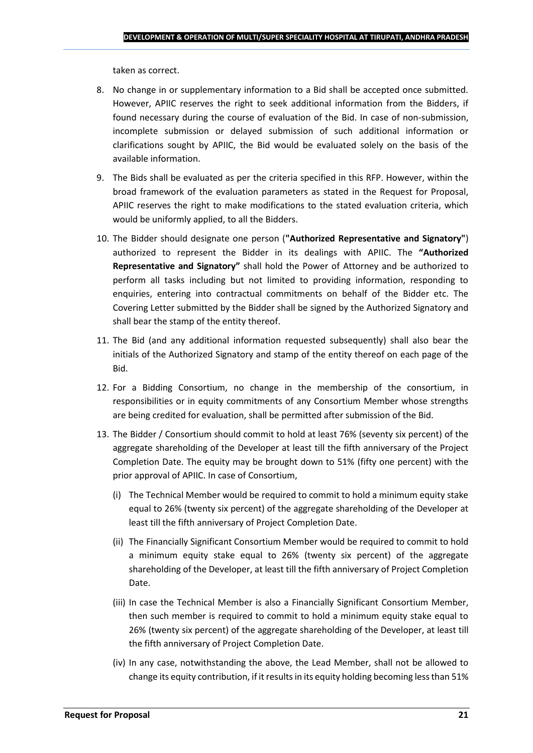taken as correct.

- 8. No change in or supplementary information to a Bid shall be accepted once submitted. However, APIIC reserves the right to seek additional information from the Bidders, if found necessary during the course of evaluation of the Bid. In case of non-submission, incomplete submission or delayed submission of such additional information or clarifications sought by APIIC, the Bid would be evaluated solely on the basis of the available information.
- 9. The Bids shall be evaluated as per the criteria specified in this RFP. However, within the broad framework of the evaluation parameters as stated in the Request for Proposal, APIIC reserves the right to make modifications to the stated evaluation criteria, which would be uniformly applied, to all the Bidders.
- 10. The Bidder should designate one person (**"Authorized Representative and Signatory"**) authorized to represent the Bidder in its dealings with APIIC. The **"Authorized Representative and Signatory"** shall hold the Power of Attorney and be authorized to perform all tasks including but not limited to providing information, responding to enquiries, entering into contractual commitments on behalf of the Bidder etc. The Covering Letter submitted by the Bidder shall be signed by the Authorized Signatory and shall bear the stamp of the entity thereof.
- 11. The Bid (and any additional information requested subsequently) shall also bear the initials of the Authorized Signatory and stamp of the entity thereof on each page of the Bid.
- 12. For a Bidding Consortium, no change in the membership of the consortium, in responsibilities or in equity commitments of any Consortium Member whose strengths are being credited for evaluation, shall be permitted after submission of the Bid.
- 13. The Bidder / Consortium should commit to hold at least 76% (seventy six percent) of the aggregate shareholding of the Developer at least till the fifth anniversary of the Project Completion Date. The equity may be brought down to 51% (fifty one percent) with the prior approval of APIIC. In case of Consortium,
	- (i) The Technical Member would be required to commit to hold a minimum equity stake equal to 26% (twenty six percent) of the aggregate shareholding of the Developer at least till the fifth anniversary of Project Completion Date.
	- (ii) The Financially Significant Consortium Member would be required to commit to hold a minimum equity stake equal to 26% (twenty six percent) of the aggregate shareholding of the Developer, at least till the fifth anniversary of Project Completion Date.
	- (iii) In case the Technical Member is also a Financially Significant Consortium Member, then such member is required to commit to hold a minimum equity stake equal to 26% (twenty six percent) of the aggregate shareholding of the Developer, at least till the fifth anniversary of Project Completion Date.
	- (iv) In any case, notwithstanding the above, the Lead Member, shall not be allowed to change its equity contribution, if it results in its equity holding becoming less than 51%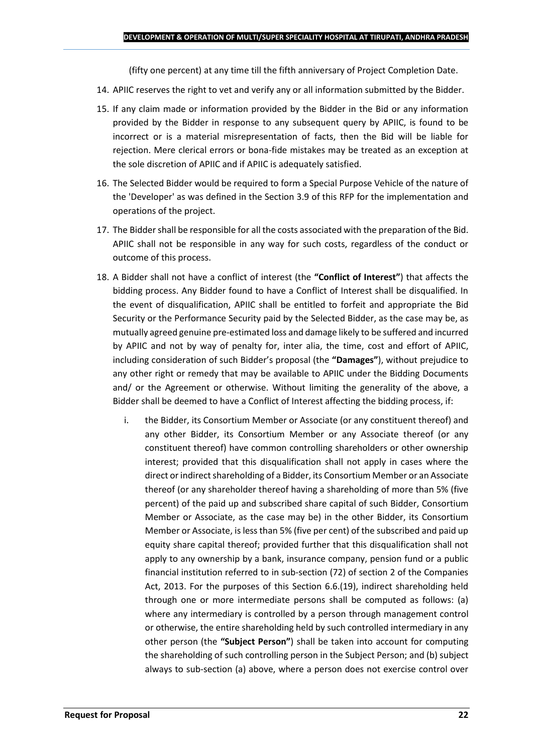(fifty one percent) at any time till the fifth anniversary of Project Completion Date.

- 14. APIIC reserves the right to vet and verify any or all information submitted by the Bidder.
- 15. If any claim made or information provided by the Bidder in the Bid or any information provided by the Bidder in response to any subsequent query by APIIC, is found to be incorrect or is a material misrepresentation of facts, then the Bid will be liable for rejection. Mere clerical errors or bona-fide mistakes may be treated as an exception at the sole discretion of APIIC and if APIIC is adequately satisfied.
- 16. The Selected Bidder would be required to form a Special Purpose Vehicle of the nature of the 'Developer' as was defined in the Section 3.9 of this RFP for the implementation and operations of the project.
- 17. The Bidder shall be responsible for all the costs associated with the preparation of the Bid. APIIC shall not be responsible in any way for such costs, regardless of the conduct or outcome of this process.
- 18. A Bidder shall not have a conflict of interest (the **"Conflict of Interest"**) that affects the bidding process. Any Bidder found to have a Conflict of Interest shall be disqualified. In the event of disqualification, APIIC shall be entitled to forfeit and appropriate the Bid Security or the Performance Security paid by the Selected Bidder, as the case may be, as mutually agreed genuine pre-estimated loss and damage likely to be suffered and incurred by APIIC and not by way of penalty for, inter alia, the time, cost and effort of APIIC, including consideration of such Bidder's proposal (the **"Damages"**), without prejudice to any other right or remedy that may be available to APIIC under the Bidding Documents and/ or the Agreement or otherwise. Without limiting the generality of the above, a Bidder shall be deemed to have a Conflict of Interest affecting the bidding process, if:
	- i. the Bidder, its Consortium Member or Associate (or any constituent thereof) and any other Bidder, its Consortium Member or any Associate thereof (or any constituent thereof) have common controlling shareholders or other ownership interest; provided that this disqualification shall not apply in cases where the direct or indirect shareholding of a Bidder, its Consortium Member or an Associate thereof (or any shareholder thereof having a shareholding of more than 5% (five percent) of the paid up and subscribed share capital of such Bidder, Consortium Member or Associate, as the case may be) in the other Bidder, its Consortium Member or Associate, is less than 5% (five per cent) of the subscribed and paid up equity share capital thereof; provided further that this disqualification shall not apply to any ownership by a bank, insurance company, pension fund or a public financial institution referred to in sub-section (72) of section 2 of the Companies Act, 2013. For the purposes of this Section 6.6.(19), indirect shareholding held through one or more intermediate persons shall be computed as follows: (a) where any intermediary is controlled by a person through management control or otherwise, the entire shareholding held by such controlled intermediary in any other person (the **"Subject Person"**) shall be taken into account for computing the shareholding of such controlling person in the Subject Person; and (b) subject always to sub-section (a) above, where a person does not exercise control over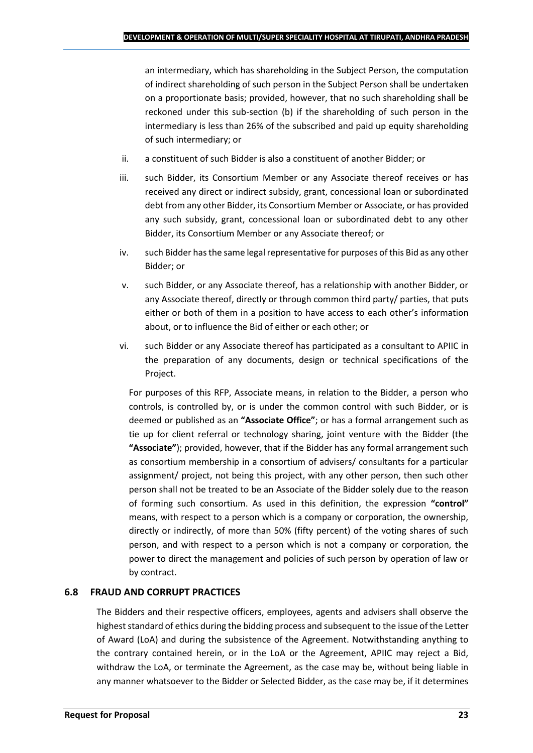an intermediary, which has shareholding in the Subject Person, the computation of indirect shareholding of such person in the Subject Person shall be undertaken on a proportionate basis; provided, however, that no such shareholding shall be reckoned under this sub-section (b) if the shareholding of such person in the intermediary is less than 26% of the subscribed and paid up equity shareholding of such intermediary; or

- ii. a constituent of such Bidder is also a constituent of another Bidder; or
- iii. such Bidder, its Consortium Member or any Associate thereof receives or has received any direct or indirect subsidy, grant, concessional loan or subordinated debt from any other Bidder, its Consortium Member or Associate, or has provided any such subsidy, grant, concessional loan or subordinated debt to any other Bidder, its Consortium Member or any Associate thereof; or
- iv. such Bidder has the same legal representative for purposes of this Bid as any other Bidder; or
- v. such Bidder, or any Associate thereof, has a relationship with another Bidder, or any Associate thereof, directly or through common third party/ parties, that puts either or both of them in a position to have access to each other's information about, or to influence the Bid of either or each other; or
- vi. such Bidder or any Associate thereof has participated as a consultant to APIIC in the preparation of any documents, design or technical specifications of the Project.

For purposes of this RFP, Associate means, in relation to the Bidder, a person who controls, is controlled by, or is under the common control with such Bidder, or is deemed or published as an **"Associate Office"**; or has a formal arrangement such as tie up for client referral or technology sharing, joint venture with the Bidder (the **"Associate"**); provided, however, that if the Bidder has any formal arrangement such as consortium membership in a consortium of advisers/ consultants for a particular assignment/ project, not being this project, with any other person, then such other person shall not be treated to be an Associate of the Bidder solely due to the reason of forming such consortium. As used in this definition, the expression **"control"**  means, with respect to a person which is a company or corporation, the ownership, directly or indirectly, of more than 50% (fifty percent) of the voting shares of such person, and with respect to a person which is not a company or corporation, the power to direct the management and policies of such person by operation of law or by contract.

## **6.8 FRAUD AND CORRUPT PRACTICES**

The Bidders and their respective officers, employees, agents and advisers shall observe the highest standard of ethics during the bidding process and subsequent to the issue of the Letter of Award (LoA) and during the subsistence of the Agreement. Notwithstanding anything to the contrary contained herein, or in the LoA or the Agreement, APIIC may reject a Bid, withdraw the LoA, or terminate the Agreement, as the case may be, without being liable in any manner whatsoever to the Bidder or Selected Bidder, as the case may be, if it determines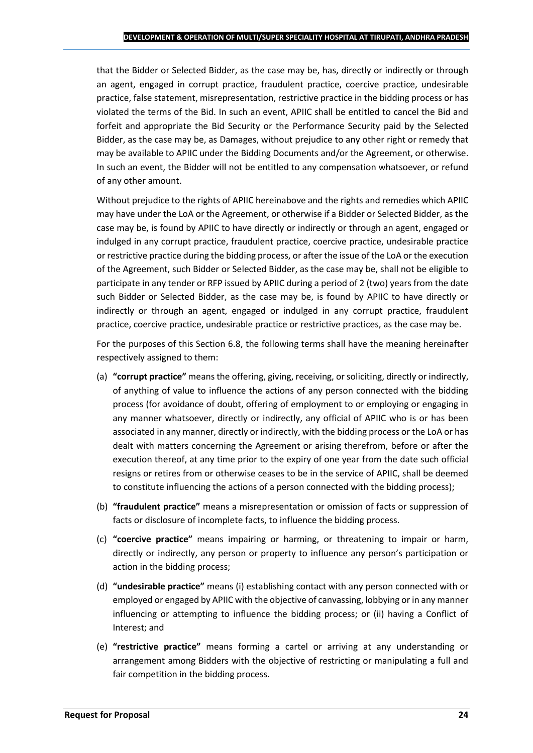that the Bidder or Selected Bidder, as the case may be, has, directly or indirectly or through an agent, engaged in corrupt practice, fraudulent practice, coercive practice, undesirable practice, false statement, misrepresentation, restrictive practice in the bidding process or has violated the terms of the Bid. In such an event, APIIC shall be entitled to cancel the Bid and forfeit and appropriate the Bid Security or the Performance Security paid by the Selected Bidder, as the case may be, as Damages, without prejudice to any other right or remedy that may be available to APIIC under the Bidding Documents and/or the Agreement, or otherwise. In such an event, the Bidder will not be entitled to any compensation whatsoever, or refund of any other amount.

Without prejudice to the rights of APIIC hereinabove and the rights and remedies which APIIC may have under the LoA or the Agreement, or otherwise if a Bidder or Selected Bidder, as the case may be, is found by APIIC to have directly or indirectly or through an agent, engaged or indulged in any corrupt practice, fraudulent practice, coercive practice, undesirable practice or restrictive practice during the bidding process, or after the issue of the LoA or the execution of the Agreement, such Bidder or Selected Bidder, as the case may be, shall not be eligible to participate in any tender or RFP issued by APIIC during a period of 2 (two) years from the date such Bidder or Selected Bidder, as the case may be, is found by APIIC to have directly or indirectly or through an agent, engaged or indulged in any corrupt practice, fraudulent practice, coercive practice, undesirable practice or restrictive practices, as the case may be.

For the purposes of this Section 6.8, the following terms shall have the meaning hereinafter respectively assigned to them:

- (a) **"corrupt practice"** means the offering, giving, receiving, or soliciting, directly or indirectly, of anything of value to influence the actions of any person connected with the bidding process (for avoidance of doubt, offering of employment to or employing or engaging in any manner whatsoever, directly or indirectly, any official of APIIC who is or has been associated in any manner, directly or indirectly, with the bidding process or the LoA or has dealt with matters concerning the Agreement or arising therefrom, before or after the execution thereof, at any time prior to the expiry of one year from the date such official resigns or retires from or otherwise ceases to be in the service of APIIC, shall be deemed to constitute influencing the actions of a person connected with the bidding process);
- (b) **"fraudulent practice"** means a misrepresentation or omission of facts or suppression of facts or disclosure of incomplete facts, to influence the bidding process.
- (c) **"coercive practice"** means impairing or harming, or threatening to impair or harm, directly or indirectly, any person or property to influence any person's participation or action in the bidding process;
- (d) **"undesirable practice"** means (i) establishing contact with any person connected with or employed or engaged by APIIC with the objective of canvassing, lobbying or in any manner influencing or attempting to influence the bidding process; or (ii) having a Conflict of Interest; and
- (e) **"restrictive practice"** means forming a cartel or arriving at any understanding or arrangement among Bidders with the objective of restricting or manipulating a full and fair competition in the bidding process.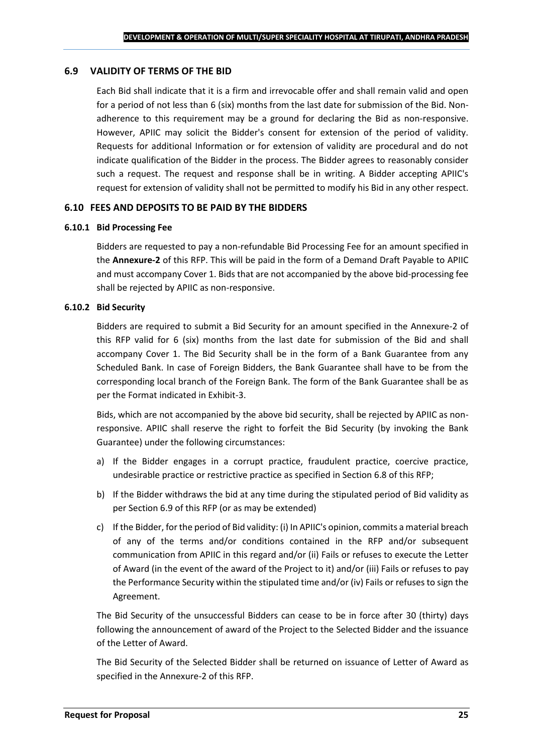#### **6.9 VALIDITY OF TERMS OF THE BID**

Each Bid shall indicate that it is a firm and irrevocable offer and shall remain valid and open for a period of not less than 6 (six) months from the last date for submission of the Bid. Nonadherence to this requirement may be a ground for declaring the Bid as non-responsive. However, APIIC may solicit the Bidder's consent for extension of the period of validity. Requests for additional Information or for extension of validity are procedural and do not indicate qualification of the Bidder in the process. The Bidder agrees to reasonably consider such a request. The request and response shall be in writing. A Bidder accepting APIIC's request for extension of validity shall not be permitted to modify his Bid in any other respect.

#### **6.10 FEES AND DEPOSITS TO BE PAID BY THE BIDDERS**

#### **6.10.1 Bid Processing Fee**

Bidders are requested to pay a non-refundable Bid Processing Fee for an amount specified in the **Annexure-2** of this RFP. This will be paid in the form of a Demand Draft Payable to APIIC and must accompany Cover 1. Bids that are not accompanied by the above bid-processing fee shall be rejected by APIIC as non-responsive.

#### **6.10.2 Bid Security**

Bidders are required to submit a Bid Security for an amount specified in the Annexure-2 of this RFP valid for 6 (six) months from the last date for submission of the Bid and shall accompany Cover 1. The Bid Security shall be in the form of a Bank Guarantee from any Scheduled Bank. In case of Foreign Bidders, the Bank Guarantee shall have to be from the corresponding local branch of the Foreign Bank. The form of the Bank Guarantee shall be as per the Format indicated in Exhibit-3.

Bids, which are not accompanied by the above bid security, shall be rejected by APIIC as nonresponsive. APIIC shall reserve the right to forfeit the Bid Security (by invoking the Bank Guarantee) under the following circumstances:

- a) If the Bidder engages in a corrupt practice, fraudulent practice, coercive practice, undesirable practice or restrictive practice as specified in Section 6.8 of this RFP;
- b) If the Bidder withdraws the bid at any time during the stipulated period of Bid validity as per Section 6.9 of this RFP (or as may be extended)
- c) If the Bidder, for the period of Bid validity: (i) In APIIC's opinion, commits a material breach of any of the terms and/or conditions contained in the RFP and/or subsequent communication from APIIC in this regard and/or (ii) Fails or refuses to execute the Letter of Award (in the event of the award of the Project to it) and/or (iii) Fails or refuses to pay the Performance Security within the stipulated time and/or (iv) Fails or refuses to sign the Agreement.

The Bid Security of the unsuccessful Bidders can cease to be in force after 30 (thirty) days following the announcement of award of the Project to the Selected Bidder and the issuance of the Letter of Award.

The Bid Security of the Selected Bidder shall be returned on issuance of Letter of Award as specified in the Annexure-2 of this RFP.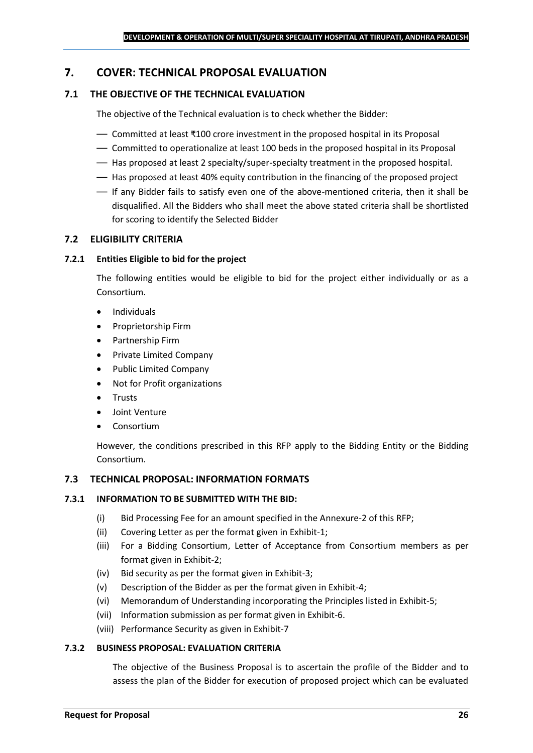## <span id="page-25-0"></span>**7. COVER: TECHNICAL PROPOSAL EVALUATION**

### **7.1 THE OBJECTIVE OF THE TECHNICAL EVALUATION**

The objective of the Technical evaluation is to check whether the Bidder:

- Committed at least ₹100 crore investment in the proposed hospital in its Proposal
- Committed to operationalize at least 100 beds in the proposed hospital in its Proposal
- Has proposed at least 2 specialty/super-specialty treatment in the proposed hospital.
- Has proposed at least 40% equity contribution in the financing of the proposed project
- If any Bidder fails to satisfy even one of the above-mentioned criteria, then it shall be disqualified. All the Bidders who shall meet the above stated criteria shall be shortlisted for scoring to identify the Selected Bidder

#### **7.2 ELIGIBILITY CRITERIA**

#### **7.2.1 Entities Eligible to bid for the project**

The following entities would be eligible to bid for the project either individually or as a Consortium.

- Individuals
- Proprietorship Firm
- Partnership Firm
- Private Limited Company
- Public Limited Company
- Not for Profit organizations
- Trusts
- Joint Venture
- **Consortium**

However, the conditions prescribed in this RFP apply to the Bidding Entity or the Bidding Consortium.

#### **7.3 TECHNICAL PROPOSAL: INFORMATION FORMATS**

#### **7.3.1 INFORMATION TO BE SUBMITTED WITH THE BID:**

- (i) Bid Processing Fee for an amount specified in the Annexure-2 of this RFP;
- (ii) Covering Letter as per the format given in Exhibit-1;
- (iii) For a Bidding Consortium, Letter of Acceptance from Consortium members as per format given in Exhibit-2;
- (iv) Bid security as per the format given in Exhibit-3;
- (v) Description of the Bidder as per the format given in Exhibit-4;
- (vi) Memorandum of Understanding incorporating the Principles listed in Exhibit-5;
- (vii) Information submission as per format given in Exhibit-6.
- (viii) Performance Security as given in Exhibit-7

#### **7.3.2 BUSINESS PROPOSAL: EVALUATION CRITERIA**

The objective of the Business Proposal is to ascertain the profile of the Bidder and to assess the plan of the Bidder for execution of proposed project which can be evaluated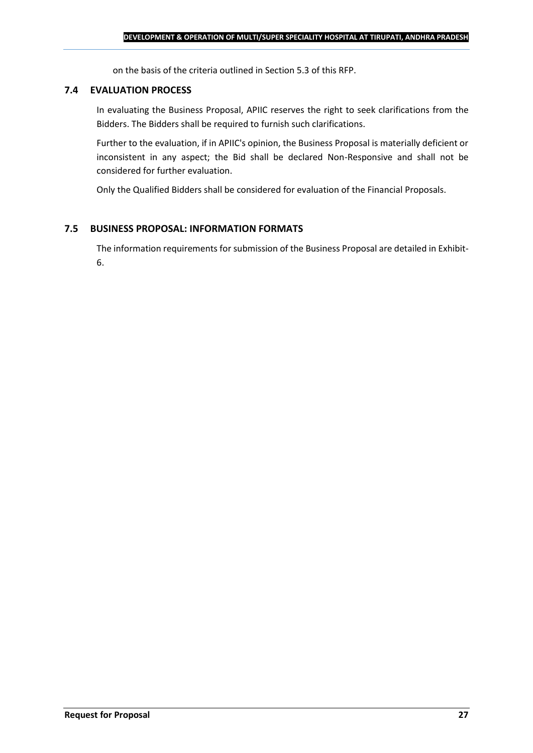on the basis of the criteria outlined in Section 5.3 of this RFP.

#### **7.4 EVALUATION PROCESS**

In evaluating the Business Proposal, APIIC reserves the right to seek clarifications from the Bidders. The Bidders shall be required to furnish such clarifications.

Further to the evaluation, if in APIIC's opinion, the Business Proposal is materially deficient or inconsistent in any aspect; the Bid shall be declared Non-Responsive and shall not be considered for further evaluation.

Only the Qualified Bidders shall be considered for evaluation of the Financial Proposals.

#### **7.5 BUSINESS PROPOSAL: INFORMATION FORMATS**

The information requirements for submission of the Business Proposal are detailed in Exhibit-6.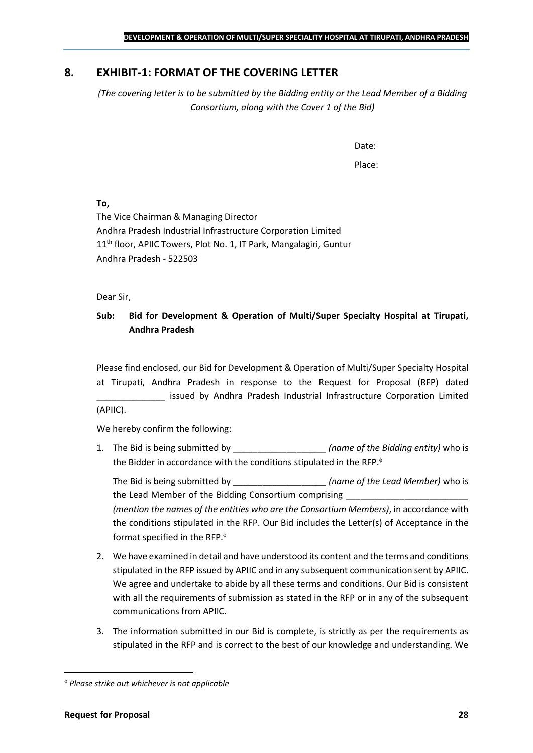## <span id="page-27-0"></span>**8. EXHIBIT-1: FORMAT OF THE COVERING LETTER**

*(The covering letter is to be submitted by the Bidding entity or the Lead Member of a Bidding Consortium, along with the Cover 1 of the Bid)*

Date:

Place:

**To,**

The Vice Chairman & Managing Director Andhra Pradesh Industrial Infrastructure Corporation Limited 11<sup>th</sup> floor, APIIC Towers, Plot No. 1, IT Park, Mangalagiri, Guntur Andhra Pradesh - 522503

Dear Sir,

## **Sub: Bid for Development & Operation of Multi/Super Specialty Hospital at Tirupati, Andhra Pradesh**

Please find enclosed, our Bid for Development & Operation of Multi/Super Specialty Hospital at Tirupati, Andhra Pradesh in response to the Request for Proposal (RFP) dated issued by Andhra Pradesh Industrial Infrastructure Corporation Limited (APIIC).

We hereby confirm the following:

1. The Bid is being submitted by **the intervalle in the Sidding entity**) who is the Bidder in accordance with the conditions stipulated in the RFP.

The Bid is being submitted by **the inclusive in the Solution Contract Contract Contract Contract Contract Contract Contract Contract Contract Contract Contract Contract Contract Contract Contract Contract Contract Contract** the Lead Member of the Bidding Consortium comprising *(mention the names of the entities who are the Consortium Members)*, in accordance with the conditions stipulated in the RFP. Our Bid includes the Letter(s) of Acceptance in the format specified in the RFP.

- 2. We have examined in detail and have understood its content and the terms and conditions stipulated in the RFP issued by APIIC and in any subsequent communication sent by APIIC. We agree and undertake to abide by all these terms and conditions. Our Bid is consistent with all the requirements of submission as stated in the RFP or in any of the subsequent communications from APIIC.
- 3. The information submitted in our Bid is complete, is strictly as per the requirements as stipulated in the RFP and is correct to the best of our knowledge and understanding. We

*Please strike out whichever is not applicable*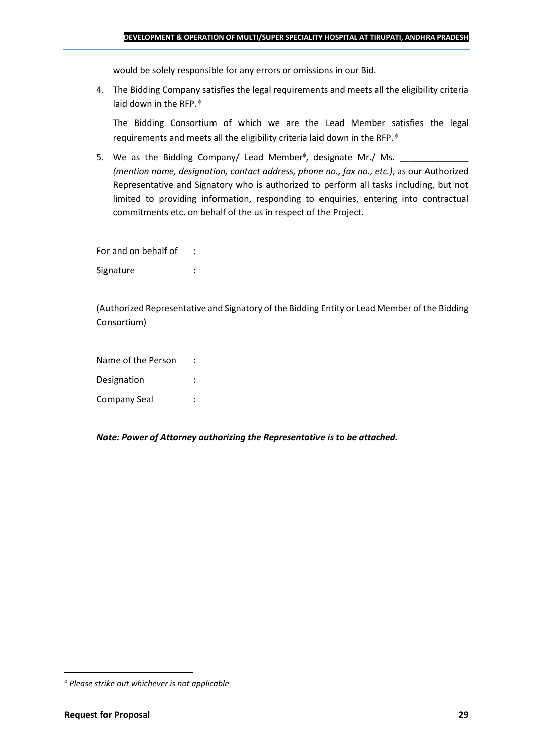would be solely responsible for any errors or omissions in our Bid.

4. The Bidding Company satisfies the legal requirements and meets all the eligibility criteria laid down in the RFP.  $\phi$ 

The Bidding Consortium of which we are the Lead Member satisfies the legal requirements and meets all the eligibility criteria laid down in the RFP.

5. We as the Bidding Company/ Lead Member<sup> $\phi$ </sup>, designate Mr./ Ms.  $\frac{1}{\sqrt{1-\frac{1}{2}}\sqrt{1-\frac{1}{2}}\sqrt{1-\frac{1}{2}}\sqrt{1-\frac{1}{2}}\sqrt{1-\frac{1}{2}}\sqrt{1-\frac{1}{2}}\sqrt{1-\frac{1}{2}}\sqrt{1-\frac{1}{2}}\sqrt{1-\frac{1}{2}}\sqrt{1-\frac{1}{2}}\sqrt{1-\frac{1}{2}}\sqrt{1-\frac{1}{2}}\sqrt{1-\frac{1}{2}}\sqrt{1$ *(mention name, designation, contact address, phone no., fax no., etc.)*, as our Authorized Representative and Signatory who is authorized to perform all tasks including, but not limited to providing information, responding to enquiries, entering into contractual commitments etc. on behalf of the us in respect of the Project.

For and on behalf of : Signature : the state of the state of the state of the state of the state of the state of the state of the state of the state of the state of the state of the state of the state of the state of the state of the state of th

(Authorized Representative and Signatory of the Bidding Entity or Lead Member of the Bidding Consortium)

Name of the Person : Designation : Company Seal :

*Note: Power of Attorney authorizing the Representative is to be attached.*

*Please strike out whichever is not applicable*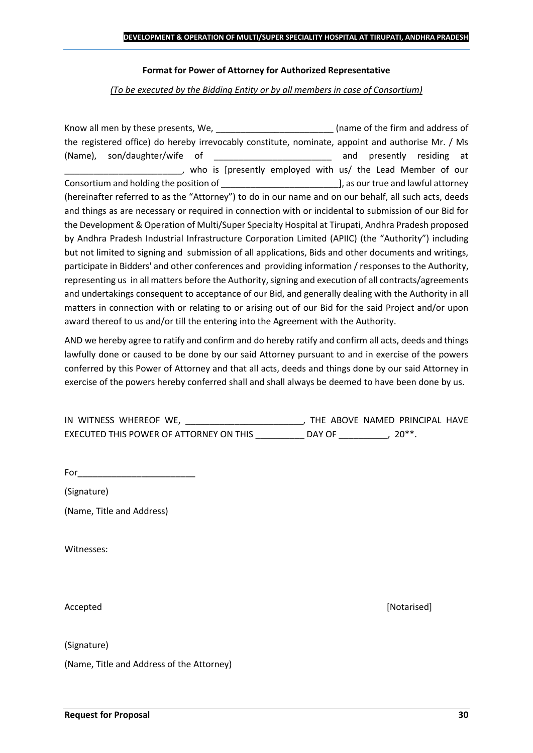#### **Format for Power of Attorney for Authorized Representative**

*(To be executed by the Bidding Entity or by all members in case of Consortium)*

Know all men by these presents, We, the state of the firm and address of the registered office) do hereby irrevocably constitute, nominate, appoint and authorise Mr. / Ms (Name), son/daughter/wife of \_\_\_\_\_\_\_\_\_\_\_\_\_\_\_\_\_\_\_\_\_\_\_\_ and presently residing at who is [presently employed with us/ the Lead Member of our Consortium and holding the position of  $\Box$  . The position of  $\Box$  as our true and lawful attorney (hereinafter referred to as the "Attorney") to do in our name and on our behalf, all such acts, deeds and things as are necessary or required in connection with or incidental to submission of our Bid for the Development & Operation of Multi/Super Specialty Hospital at Tirupati, Andhra Pradesh proposed by Andhra Pradesh Industrial Infrastructure Corporation Limited (APIIC) (the "Authority") including but not limited to signing and submission of all applications, Bids and other documents and writings, participate in Bidders' and other conferences and providing information / responses to the Authority, representing us in all matters before the Authority, signing and execution of all contracts/agreements and undertakings consequent to acceptance of our Bid, and generally dealing with the Authority in all matters in connection with or relating to or arising out of our Bid for the said Project and/or upon award thereof to us and/or till the entering into the Agreement with the Authority.

AND we hereby agree to ratify and confirm and do hereby ratify and confirm all acts, deeds and things lawfully done or caused to be done by our said Attorney pursuant to and in exercise of the powers conferred by this Power of Attorney and that all acts, deeds and things done by our said Attorney in exercise of the powers hereby conferred shall and shall always be deemed to have been done by us.

| IN WITNESS WHEREOF WE,                  |        | THE ABOVE NAMED PRINCIPAL HAVE |  |
|-----------------------------------------|--------|--------------------------------|--|
| EXECUTED THIS POWER OF ATTORNEY ON THIS | DAY OF | $20**$                         |  |

For  $\qquad$ 

(Signature)

(Name, Title and Address)

Witnesses:

(Signature)

(Name, Title and Address of the Attorney)

Accepted **[Notarised] Accepted** *Maximum Maximum Maximum Maximum Maximum <i>Maximum Maximum Maximum <i>Maximum Maximum Maximum <i>Maximum Maximum Maximum <i>Maximum Maximum*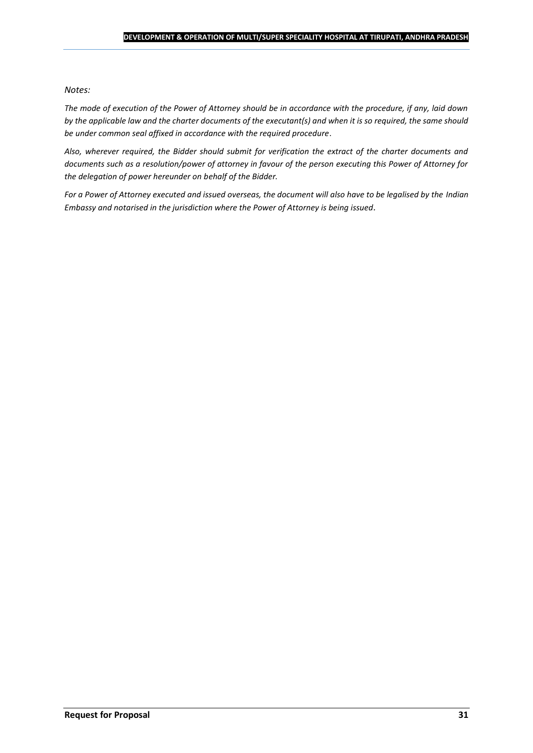#### *Notes:*

*The mode of execution of the Power of Attorney should be in accordance with the procedure, if any, laid down by the applicable law and the charter documents of the executant(s) and when it is so required, the same should be under common seal affixed in accordance with the required procedure*.

*Also, wherever required, the Bidder should submit for verification the extract of the charter documents and documents such as a resolution/power of attorney in favour of the person executing this Power of Attorney for the delegation of power hereunder on behalf of the Bidder.* 

For a Power of Attorney executed and issued overseas, the document will also have to be legalised by the *Indian Embassy and notarised in the jurisdiction where the Power of Attorney is being issued.*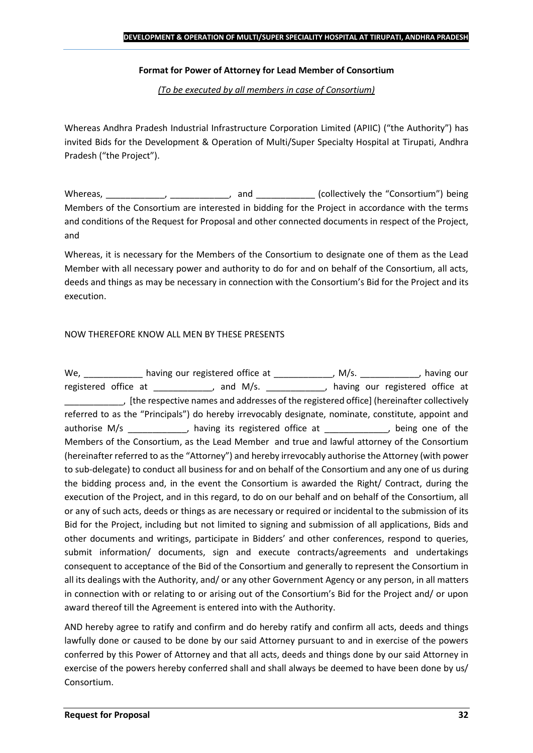#### **Format for Power of Attorney for Lead Member of Consortium**

*(To be executed by all members in case of Consortium)*

Whereas Andhra Pradesh Industrial Infrastructure Corporation Limited (APIIC) ("the Authority") has invited Bids for the Development & Operation of Multi/Super Specialty Hospital at Tirupati, Andhra Pradesh ("the Project").

Whereas, \_\_\_\_\_\_\_\_\_\_\_\_, \_\_\_\_\_\_\_\_\_\_\_, and \_\_\_\_\_\_\_\_\_\_\_\_ (collectively the "Consortium") being Members of the Consortium are interested in bidding for the Project in accordance with the terms and conditions of the Request for Proposal and other connected documents in respect of the Project, and

Whereas, it is necessary for the Members of the Consortium to designate one of them as the Lead Member with all necessary power and authority to do for and on behalf of the Consortium, all acts, deeds and things as may be necessary in connection with the Consortium's Bid for the Project and its execution.

#### NOW THEREFORE KNOW ALL MEN BY THESE PRESENTS

We, \_\_\_\_\_\_\_\_\_\_\_\_\_ having our registered office at \_\_\_\_\_\_\_\_\_\_\_\_\_, M/s. \_\_\_\_\_\_\_\_\_\_\_, having our registered office at \_\_\_\_\_\_\_\_\_\_\_, and M/s. \_\_\_\_\_\_\_\_\_\_\_, having our registered office at \_\_\_\_\_\_\_\_\_\_\_\_, [the respective names and addresses of the registered office] (hereinafter collectively referred to as the "Principals") do hereby irrevocably designate, nominate, constitute, appoint and authorise M/s \_\_\_\_\_\_\_\_\_\_\_, having its registered office at  $\qquad \qquad$ , being one of the Members of the Consortium, as the Lead Member and true and lawful attorney of the Consortium (hereinafter referred to as the "Attorney") and hereby irrevocably authorise the Attorney (with power to sub-delegate) to conduct all business for and on behalf of the Consortium and any one of us during the bidding process and, in the event the Consortium is awarded the Right/ Contract, during the execution of the Project, and in this regard, to do on our behalf and on behalf of the Consortium, all or any of such acts, deeds or things as are necessary or required or incidental to the submission of its Bid for the Project, including but not limited to signing and submission of all applications, Bids and other documents and writings, participate in Bidders' and other conferences, respond to queries, submit information/ documents, sign and execute contracts/agreements and undertakings consequent to acceptance of the Bid of the Consortium and generally to represent the Consortium in all its dealings with the Authority, and/ or any other Government Agency or any person, in all matters in connection with or relating to or arising out of the Consortium's Bid for the Project and/ or upon award thereof till the Agreement is entered into with the Authority.

AND hereby agree to ratify and confirm and do hereby ratify and confirm all acts, deeds and things lawfully done or caused to be done by our said Attorney pursuant to and in exercise of the powers conferred by this Power of Attorney and that all acts, deeds and things done by our said Attorney in exercise of the powers hereby conferred shall and shall always be deemed to have been done by us/ Consortium.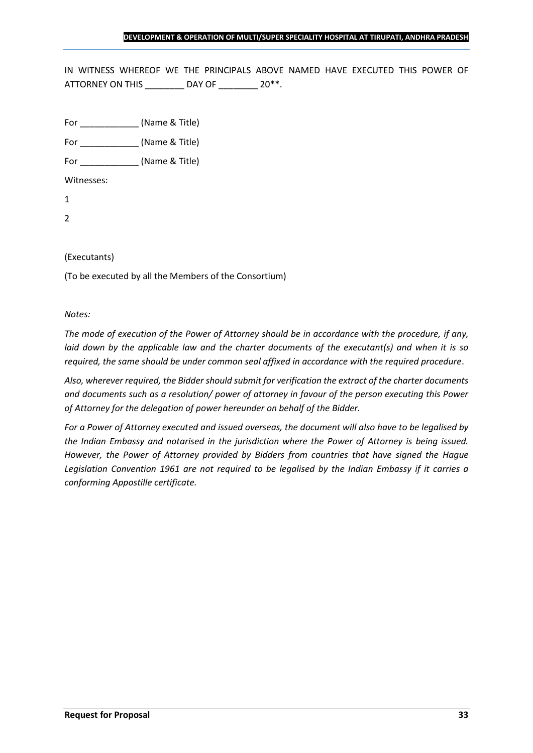IN WITNESS WHEREOF WE THE PRINCIPALS ABOVE NAMED HAVE EXECUTED THIS POWER OF ATTORNEY ON THIS \_\_\_\_\_\_\_\_ DAY OF \_\_\_\_\_\_\_ 20\*\*.

For \_\_\_\_\_\_\_\_\_\_\_\_ (Name & Title)

For  $(Name & Title)$ 

Witnesses:

1

2

#### (Executants)

(To be executed by all the Members of the Consortium)

*Notes:* 

*The mode of execution of the Power of Attorney should be in accordance with the procedure, if any, laid down by the applicable law and the charter documents of the executant(s) and when it is so required, the same should be under common seal affixed in accordance with the required procedure*.

*Also, wherever required, the Bidder should submit for verification the extract of the charter documents and documents such as a resolution/ power of attorney in favour of the person executing this Power of Attorney for the delegation of power hereunder on behalf of the Bidder.* 

*For a Power of Attorney executed and issued overseas, the document will also have to be legalised by the Indian Embassy and notarised in the jurisdiction where the Power of Attorney is being issued. However, the Power of Attorney provided by Bidders from countries that have signed the Hague Legislation Convention 1961 are not required to be legalised by the Indian Embassy if it carries a conforming Appostille certificate.*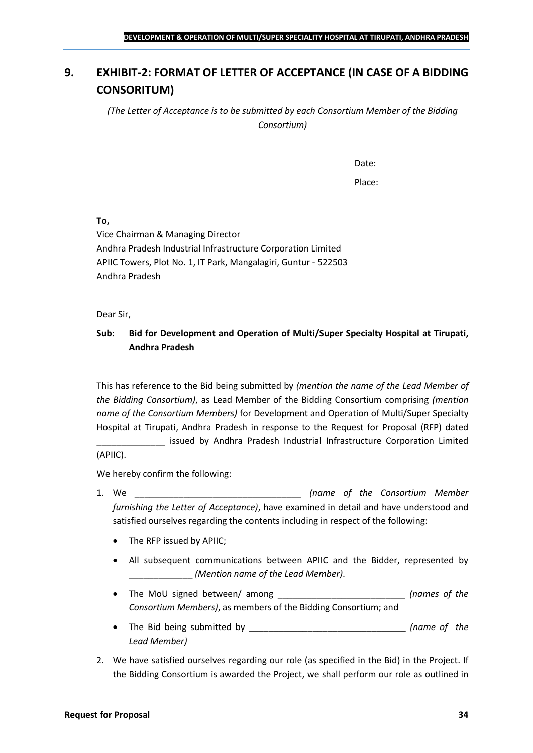## <span id="page-33-0"></span>**9. EXHIBIT-2: FORMAT OF LETTER OF ACCEPTANCE (IN CASE OF A BIDDING CONSORITUM)**

*(The Letter of Acceptance is to be submitted by each Consortium Member of the Bidding Consortium)*

Date:

Place:

**To,**

Vice Chairman & Managing Director Andhra Pradesh Industrial Infrastructure Corporation Limited APIIC Towers, Plot No. 1, IT Park, Mangalagiri, Guntur - 522503 Andhra Pradesh

Dear Sir,

## **Sub: Bid for Development and Operation of Multi/Super Specialty Hospital at Tirupati, Andhra Pradesh**

This has reference to the Bid being submitted by *(mention the name of the Lead Member of the Bidding Consortium)*, as Lead Member of the Bidding Consortium comprising *(mention name of the Consortium Members)* for Development and Operation of Multi/Super Specialty Hospital at Tirupati, Andhra Pradesh in response to the Request for Proposal (RFP) dated

\_\_\_\_\_\_\_\_\_\_\_\_\_\_ issued by Andhra Pradesh Industrial Infrastructure Corporation Limited (APIIC).

We hereby confirm the following:

- 1. We \_\_\_\_\_\_\_\_\_\_\_\_\_\_\_\_\_\_\_\_\_\_\_\_\_\_\_\_\_\_\_\_\_\_ *(name of the Consortium Member furnishing the Letter of Acceptance)*, have examined in detail and have understood and satisfied ourselves regarding the contents including in respect of the following:
	- The RFP issued by APIIC;
	- All subsequent communications between APIIC and the Bidder, represented by \_\_\_\_\_\_\_\_\_\_\_\_\_ *(Mention name of the Lead Member)*.
	- The MoU signed between/ among \_\_\_\_\_\_\_\_\_\_\_\_\_\_\_\_\_\_\_\_\_\_\_\_\_\_ *(names of the Consortium Members)*, as members of the Bidding Consortium; and
	- The Bid being submitted by \_\_\_\_\_\_\_\_\_\_\_\_\_\_\_\_\_\_\_\_\_\_\_\_\_\_\_\_\_\_\_\_ *(name of the Lead Member)*
- 2. We have satisfied ourselves regarding our role (as specified in the Bid) in the Project. If the Bidding Consortium is awarded the Project, we shall perform our role as outlined in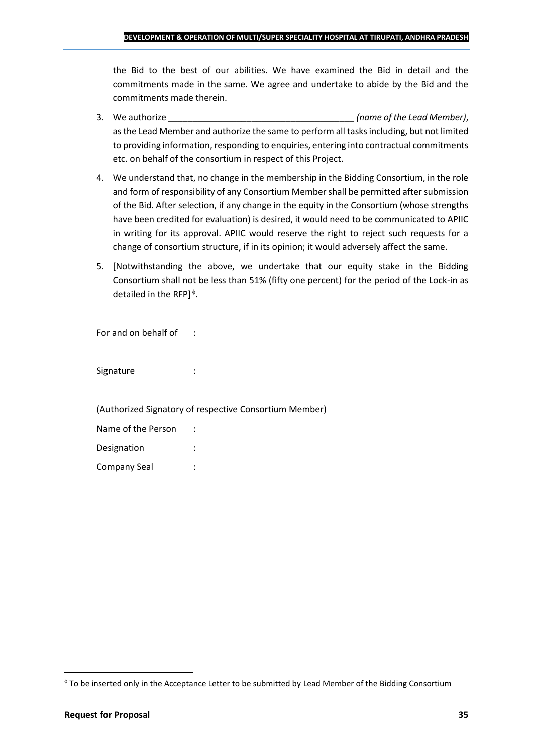the Bid to the best of our abilities. We have examined the Bid in detail and the commitments made in the same. We agree and undertake to abide by the Bid and the commitments made therein.

- 3. We authorize \_\_\_\_\_\_\_\_\_\_\_\_\_\_\_\_\_\_\_\_\_\_\_\_\_\_\_\_\_\_\_\_\_\_\_\_\_\_ *(name of the Lead Member)*, as the Lead Member and authorize the same to perform all tasks including, but not limited to providing information, responding to enquiries, entering into contractual commitments etc. on behalf of the consortium in respect of this Project.
- 4. We understand that, no change in the membership in the Bidding Consortium, in the role and form of responsibility of any Consortium Member shall be permitted after submission of the Bid. After selection, if any change in the equity in the Consortium (whose strengths have been credited for evaluation) is desired, it would need to be communicated to APIIC in writing for its approval. APIIC would reserve the right to reject such requests for a change of consortium structure, if in its opinion; it would adversely affect the same.
- 5. [Notwithstanding the above, we undertake that our equity stake in the Bidding Consortium shall not be less than 51% (fifty one percent) for the period of the Lock-in as detailed in the RFP] $\triangle$ .

For and on behalf of :

Signature : :

(Authorized Signatory of respective Consortium Member)

| Name of the Person |  |
|--------------------|--|
| Designation        |  |
| Company Seal       |  |

To be inserted only in the Acceptance Letter to be submitted by Lead Member of the Bidding Consortium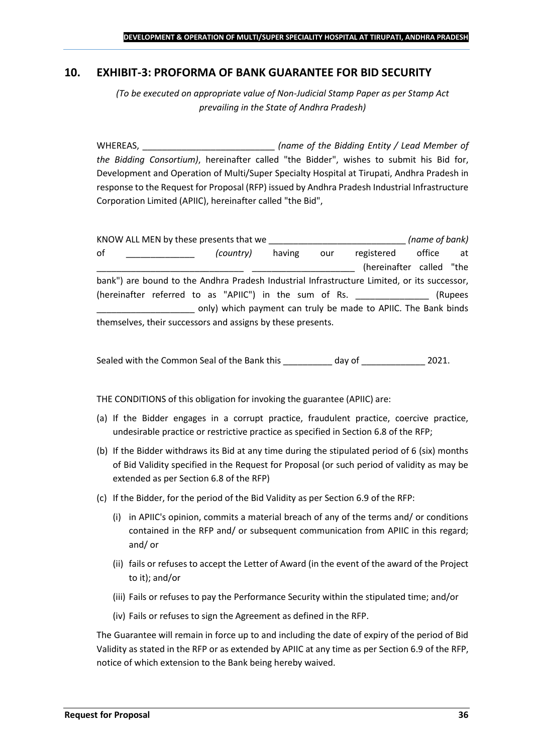### <span id="page-35-0"></span>**10. EXHIBIT-3: PROFORMA OF BANK GUARANTEE FOR BID SECURITY**

*(To be executed on appropriate value of Non-Judicial Stamp Paper as per Stamp Act prevailing in the State of Andhra Pradesh)*

WHEREAS, \_\_\_\_\_\_\_\_\_\_\_\_\_\_\_\_\_\_\_\_\_\_\_\_\_\_\_ *(name of the Bidding Entity / Lead Member of the Bidding Consortium)*, hereinafter called "the Bidder", wishes to submit his Bid for, Development and Operation of Multi/Super Specialty Hospital at Tirupati, Andhra Pradesh in response to the Request for Proposal (RFP) issued by Andhra Pradesh Industrial Infrastructure Corporation Limited (APIIC), hereinafter called "the Bid",

KNOW ALL MEN by these presents that we \_\_\_\_\_\_\_\_\_\_\_\_\_\_\_\_\_\_\_\_\_\_\_\_\_\_\_\_ *(name of bank)* of \_\_\_\_\_\_\_\_\_\_\_\_\_\_ *(country)* having our registered office at (hereinafter called "the bank") are bound to the Andhra Pradesh Industrial Infrastructure Limited, or its successor, (hereinafter referred to as "APIIC") in the sum of Rs. \_\_\_\_\_\_\_\_\_\_\_\_\_\_\_ (Rupees \_\_\_\_\_\_\_\_\_\_\_\_\_\_\_\_\_\_\_\_ only) which payment can truly be made to APIIC. The Bank binds themselves, their successors and assigns by these presents.

Sealed with the Common Seal of the Bank this day of  $2021$ .

THE CONDITIONS of this obligation for invoking the guarantee (APIIC) are:

- (a) If the Bidder engages in a corrupt practice, fraudulent practice, coercive practice, undesirable practice or restrictive practice as specified in Section 6.8 of the RFP;
- (b) If the Bidder withdraws its Bid at any time during the stipulated period of 6 (six) months of Bid Validity specified in the Request for Proposal (or such period of validity as may be extended as per Section 6.8 of the RFP)
- (c) If the Bidder, for the period of the Bid Validity as per Section 6.9 of the RFP:
	- (i) in APIIC's opinion, commits a material breach of any of the terms and/ or conditions contained in the RFP and/ or subsequent communication from APIIC in this regard; and/ or
	- (ii) fails or refuses to accept the Letter of Award (in the event of the award of the Project to it); and/or
	- (iii) Fails or refuses to pay the Performance Security within the stipulated time; and/or
	- (iv) Fails or refuses to sign the Agreement as defined in the RFP.

The Guarantee will remain in force up to and including the date of expiry of the period of Bid Validity as stated in the RFP or as extended by APIIC at any time as per Section 6.9 of the RFP, notice of which extension to the Bank being hereby waived.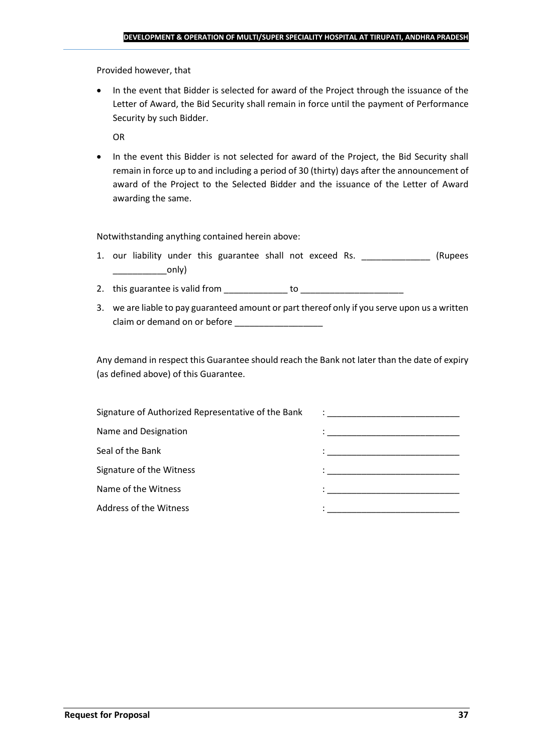Provided however, that

• In the event that Bidder is selected for award of the Project through the issuance of the Letter of Award, the Bid Security shall remain in force until the payment of Performance Security by such Bidder.

OR

• In the event this Bidder is not selected for award of the Project, the Bid Security shall remain in force up to and including a period of 30 (thirty) days after the announcement of award of the Project to the Selected Bidder and the issuance of the Letter of Award awarding the same.

Notwithstanding anything contained herein above:

- 1. our liability under this guarantee shall not exceed Rs. \_\_\_\_\_\_\_\_\_\_\_\_\_\_\_ (Rupees  $\begin{array}{c} \begin{array}{c} \begin{array}{c} \end{array} \end{array}$
- 2. this guarantee is valid from to be to to to the state of the state of the state of the state of the state o
- 3. we are liable to pay guaranteed amount or part thereof only if you serve upon us a written claim or demand on or before

Any demand in respect this Guarantee should reach the Bank not later than the date of expiry (as defined above) of this Guarantee.

| Signature of Authorized Representative of the Bank | $\mathcal{L}=\frac{1}{\sqrt{2\pi}}\left\{ \frac{1}{\sqrt{2\pi}}\right\}$                                                              |
|----------------------------------------------------|---------------------------------------------------------------------------------------------------------------------------------------|
| Name and Designation                               | the contract of the contract of the contract of the contract of the contract of the contract of                                       |
| Seal of the Bank                                   | the control of the control of the control of the control of the control of                                                            |
| Signature of the Witness                           |                                                                                                                                       |
| Name of the Witness                                | en de la componentación de la componentación de la componentación de la componentación de la componentación de<br>A la componentación |
| Address of the Witness                             |                                                                                                                                       |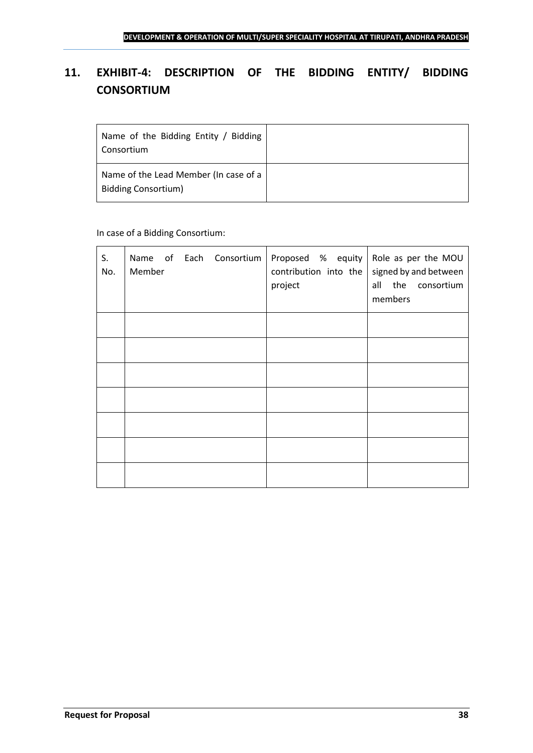## <span id="page-37-0"></span>**11. EXHIBIT-4: DESCRIPTION OF THE BIDDING ENTITY/ BIDDING CONSORTIUM**

| Name of the Bidding Entity / Bidding<br>Consortium                  |  |
|---------------------------------------------------------------------|--|
| Name of the Lead Member (In case of a<br><b>Bidding Consortium)</b> |  |

## In case of a Bidding Consortium:

| S.<br>No. | Name of Each Consortium<br>Member | Proposed $%$ equity Role as per the MOU<br>contribution into the<br>project | signed by and between<br>all the consortium<br>members |
|-----------|-----------------------------------|-----------------------------------------------------------------------------|--------------------------------------------------------|
|           |                                   |                                                                             |                                                        |
|           |                                   |                                                                             |                                                        |
|           |                                   |                                                                             |                                                        |
|           |                                   |                                                                             |                                                        |
|           |                                   |                                                                             |                                                        |
|           |                                   |                                                                             |                                                        |
|           |                                   |                                                                             |                                                        |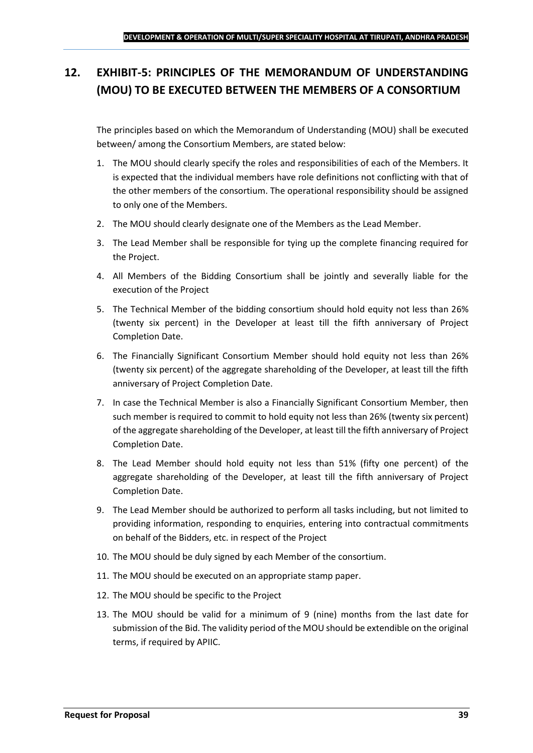## <span id="page-38-0"></span>**12. EXHIBIT-5: PRINCIPLES OF THE MEMORANDUM OF UNDERSTANDING (MOU) TO BE EXECUTED BETWEEN THE MEMBERS OF A CONSORTIUM**

The principles based on which the Memorandum of Understanding (MOU) shall be executed between/ among the Consortium Members, are stated below:

- 1. The MOU should clearly specify the roles and responsibilities of each of the Members. It is expected that the individual members have role definitions not conflicting with that of the other members of the consortium. The operational responsibility should be assigned to only one of the Members.
- 2. The MOU should clearly designate one of the Members as the Lead Member.
- 3. The Lead Member shall be responsible for tying up the complete financing required for the Project.
- 4. All Members of the Bidding Consortium shall be jointly and severally liable for the execution of the Project
- 5. The Technical Member of the bidding consortium should hold equity not less than 26% (twenty six percent) in the Developer at least till the fifth anniversary of Project Completion Date.
- 6. The Financially Significant Consortium Member should hold equity not less than 26% (twenty six percent) of the aggregate shareholding of the Developer, at least till the fifth anniversary of Project Completion Date.
- 7. In case the Technical Member is also a Financially Significant Consortium Member, then such member is required to commit to hold equity not less than 26% (twenty six percent) of the aggregate shareholding of the Developer, at least till the fifth anniversary of Project Completion Date.
- 8. The Lead Member should hold equity not less than 51% (fifty one percent) of the aggregate shareholding of the Developer, at least till the fifth anniversary of Project Completion Date.
- 9. The Lead Member should be authorized to perform all tasks including, but not limited to providing information, responding to enquiries, entering into contractual commitments on behalf of the Bidders, etc. in respect of the Project
- 10. The MOU should be duly signed by each Member of the consortium.
- 11. The MOU should be executed on an appropriate stamp paper.
- 12. The MOU should be specific to the Project
- 13. The MOU should be valid for a minimum of 9 (nine) months from the last date for submission of the Bid. The validity period of the MOU should be extendible on the original terms, if required by APIIC.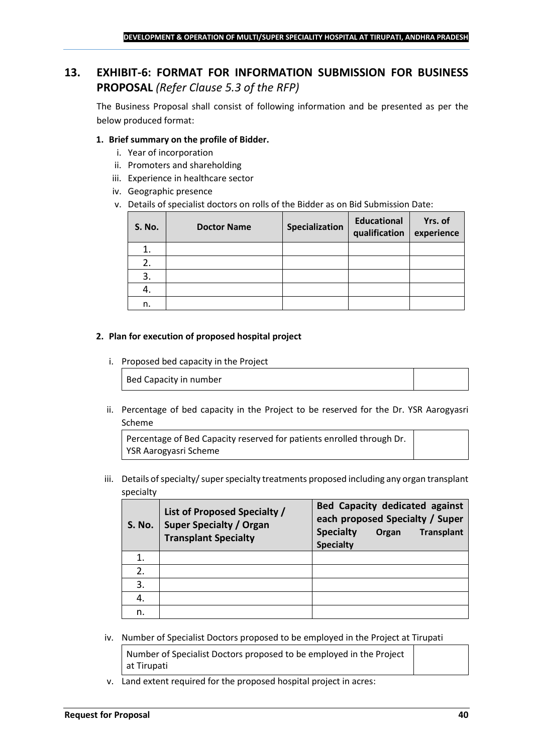## <span id="page-39-0"></span>**13. EXHIBIT-6: FORMAT FOR INFORMATION SUBMISSION FOR BUSINESS PROPOSAL** *(Refer Clause 5.3 of the RFP)*

The Business Proposal shall consist of following information and be presented as per the below produced format:

#### **1. Brief summary on the profile of Bidder.**

- i. Year of incorporation
- ii. Promoters and shareholding
- iii. Experience in healthcare sector
- iv. Geographic presence
- v. Details of specialist doctors on rolls of the Bidder as on Bid Submission Date:

| <b>S. No.</b> | <b>Doctor Name</b> | Specialization | <b>Educational</b><br>qualification | Yrs. of<br>experience |
|---------------|--------------------|----------------|-------------------------------------|-----------------------|
|               |                    |                |                                     |                       |
| 2.            |                    |                |                                     |                       |
| 3.            |                    |                |                                     |                       |
| 4.            |                    |                |                                     |                       |
| n.            |                    |                |                                     |                       |

#### **2. Plan for execution of proposed hospital project**

i. Proposed bed capacity in the Project

Bed Capacity in number

ii. Percentage of bed capacity in the Project to be reserved for the Dr. YSR Aarogyasri Scheme

Percentage of Bed Capacity reserved for patients enrolled through Dr. YSR Aarogyasri Scheme

iii. Details of specialty/ super specialty treatments proposed including any organ transplant specialty

| <b>S. No.</b> | List of Proposed Specialty /<br><b>Super Specialty / Organ</b><br><b>Transplant Specialty</b> | <b>Bed Capacity dedicated against</b><br>each proposed Specialty / Super<br><b>Specialty</b><br><b>Transplant</b><br>Organ<br><b>Specialty</b> |
|---------------|-----------------------------------------------------------------------------------------------|------------------------------------------------------------------------------------------------------------------------------------------------|
|               |                                                                                               |                                                                                                                                                |
| 2.            |                                                                                               |                                                                                                                                                |
| 3.            |                                                                                               |                                                                                                                                                |
|               |                                                                                               |                                                                                                                                                |
| n.            |                                                                                               |                                                                                                                                                |

iv. Number of Specialist Doctors proposed to be employed in the Project at Tirupati

Number of Specialist Doctors proposed to be employed in the Project at Tirupati

v. Land extent required for the proposed hospital project in acres: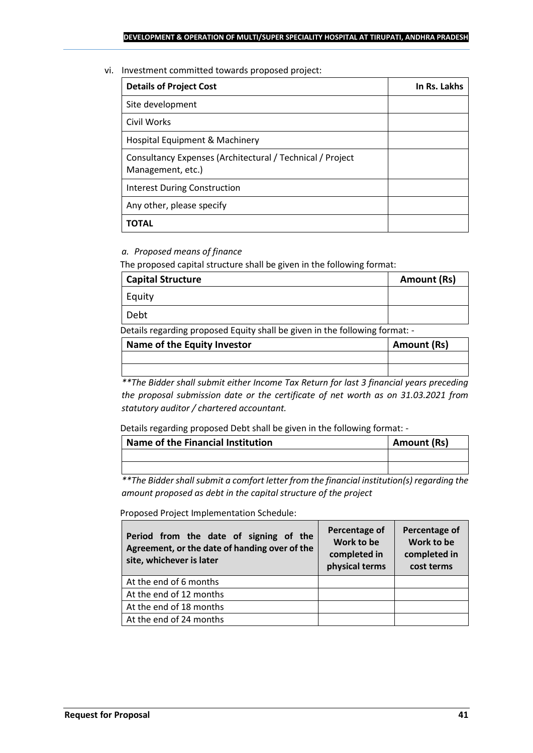vi. Investment committed towards proposed project:

| <b>Details of Project Cost</b>                                                 | In Rs. Lakhs |
|--------------------------------------------------------------------------------|--------------|
| Site development                                                               |              |
| Civil Works                                                                    |              |
| Hospital Equipment & Machinery                                                 |              |
| Consultancy Expenses (Architectural / Technical / Project<br>Management, etc.) |              |
| <b>Interest During Construction</b>                                            |              |
| Any other, please specify                                                      |              |
| TOTAL                                                                          |              |

## *a. Proposed means of finance*

The proposed capital structure shall be given in the following format:

| <b>Capital Structure</b> | Amount (Rs) |
|--------------------------|-------------|
| Equity                   |             |
| Debt                     |             |

Details regarding proposed Equity shall be given in the following format: -

| Name of the Equity Investor | Amount (Rs) |
|-----------------------------|-------------|
|                             |             |
|                             |             |

*\*\*The Bidder shall submit either Income Tax Return for last 3 financial years preceding the proposal submission date or the certificate of net worth as on 31.03.2021 from statutory auditor / chartered accountant.*

Details regarding proposed Debt shall be given in the following format: -

| Name of the Financial Institution | Amount (Rs) |
|-----------------------------------|-------------|
|                                   |             |
|                                   |             |

*\*\*The Bidder shall submit a comfort letter from the financial institution(s) regarding the amount proposed as debt in the capital structure of the project*

Proposed Project Implementation Schedule:

| Period from the date of signing of the<br>Agreement, or the date of handing over of the<br>site, whichever is later | Percentage of<br>Work to be<br>completed in<br>physical terms | Percentage of<br>Work to be<br>completed in<br>cost terms |
|---------------------------------------------------------------------------------------------------------------------|---------------------------------------------------------------|-----------------------------------------------------------|
| At the end of 6 months                                                                                              |                                                               |                                                           |
| At the end of 12 months                                                                                             |                                                               |                                                           |
| At the end of 18 months                                                                                             |                                                               |                                                           |
| At the end of 24 months                                                                                             |                                                               |                                                           |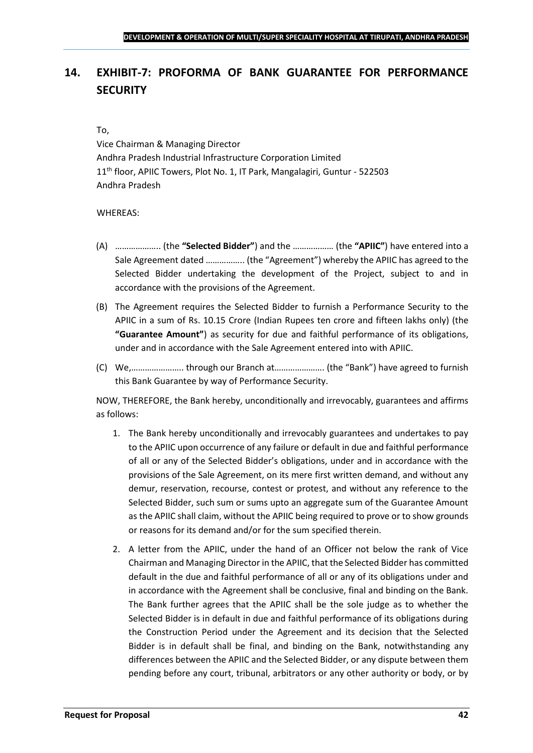## <span id="page-41-0"></span>**14. EXHIBIT-7: PROFORMA OF BANK GUARANTEE FOR PERFORMANCE SECURITY**

#### To,

Vice Chairman & Managing Director Andhra Pradesh Industrial Infrastructure Corporation Limited 11<sup>th</sup> floor, APIIC Towers, Plot No. 1, IT Park, Mangalagiri, Guntur - 522503 Andhra Pradesh

#### WHEREAS:

- (A) ……………….. (the **"Selected Bidder"**) and the ……………… (the **"APIIC"**) have entered into a Sale Agreement dated …………….. (the "Agreement") whereby the APIIC has agreed to the Selected Bidder undertaking the development of the Project, subject to and in accordance with the provisions of the Agreement.
- (B) The Agreement requires the Selected Bidder to furnish a Performance Security to the APIIC in a sum of Rs. 10.15 Crore (Indian Rupees ten crore and fifteen lakhs only) (the **"Guarantee Amount"**) as security for due and faithful performance of its obligations, under and in accordance with the Sale Agreement entered into with APIIC.
- (C) We,………………….. through our Branch at…………………. (the "Bank") have agreed to furnish this Bank Guarantee by way of Performance Security.

NOW, THEREFORE, the Bank hereby, unconditionally and irrevocably, guarantees and affirms as follows:

- 1. The Bank hereby unconditionally and irrevocably guarantees and undertakes to pay to the APIIC upon occurrence of any failure or default in due and faithful performance of all or any of the Selected Bidder's obligations, under and in accordance with the provisions of the Sale Agreement, on its mere first written demand, and without any demur, reservation, recourse, contest or protest, and without any reference to the Selected Bidder, such sum or sums upto an aggregate sum of the Guarantee Amount as the APIIC shall claim, without the APIIC being required to prove or to show grounds or reasons for its demand and/or for the sum specified therein.
- 2. A letter from the APIIC, under the hand of an Officer not below the rank of Vice Chairman and Managing Director in the APIIC, that the Selected Bidder has committed default in the due and faithful performance of all or any of its obligations under and in accordance with the Agreement shall be conclusive, final and binding on the Bank. The Bank further agrees that the APIIC shall be the sole judge as to whether the Selected Bidder is in default in due and faithful performance of its obligations during the Construction Period under the Agreement and its decision that the Selected Bidder is in default shall be final, and binding on the Bank, notwithstanding any differences between the APIIC and the Selected Bidder, or any dispute between them pending before any court, tribunal, arbitrators or any other authority or body, or by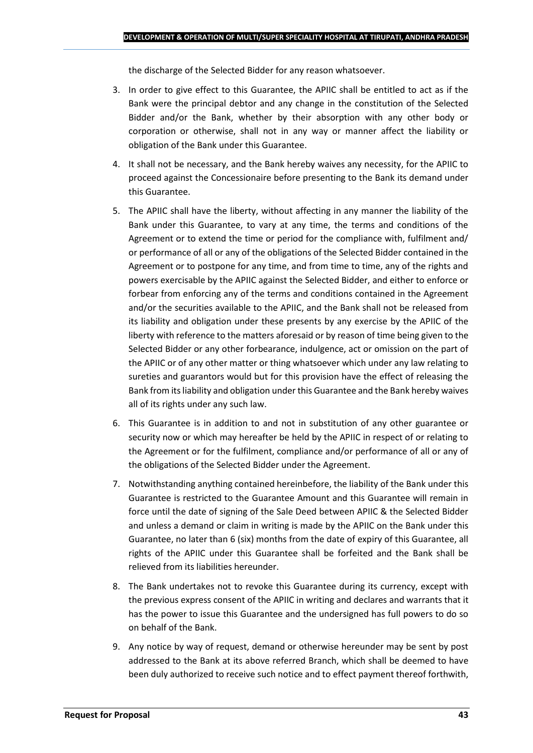the discharge of the Selected Bidder for any reason whatsoever.

- 3. In order to give effect to this Guarantee, the APIIC shall be entitled to act as if the Bank were the principal debtor and any change in the constitution of the Selected Bidder and/or the Bank, whether by their absorption with any other body or corporation or otherwise, shall not in any way or manner affect the liability or obligation of the Bank under this Guarantee.
- 4. It shall not be necessary, and the Bank hereby waives any necessity, for the APIIC to proceed against the Concessionaire before presenting to the Bank its demand under this Guarantee.
- 5. The APIIC shall have the liberty, without affecting in any manner the liability of the Bank under this Guarantee, to vary at any time, the terms and conditions of the Agreement or to extend the time or period for the compliance with, fulfilment and/ or performance of all or any of the obligations of the Selected Bidder contained in the Agreement or to postpone for any time, and from time to time, any of the rights and powers exercisable by the APIIC against the Selected Bidder, and either to enforce or forbear from enforcing any of the terms and conditions contained in the Agreement and/or the securities available to the APIIC, and the Bank shall not be released from its liability and obligation under these presents by any exercise by the APIIC of the liberty with reference to the matters aforesaid or by reason of time being given to the Selected Bidder or any other forbearance, indulgence, act or omission on the part of the APIIC or of any other matter or thing whatsoever which under any law relating to sureties and guarantors would but for this provision have the effect of releasing the Bank from its liability and obligation under this Guarantee and the Bank hereby waives all of its rights under any such law.
- 6. This Guarantee is in addition to and not in substitution of any other guarantee or security now or which may hereafter be held by the APIIC in respect of or relating to the Agreement or for the fulfilment, compliance and/or performance of all or any of the obligations of the Selected Bidder under the Agreement.
- 7. Notwithstanding anything contained hereinbefore, the liability of the Bank under this Guarantee is restricted to the Guarantee Amount and this Guarantee will remain in force until the date of signing of the Sale Deed between APIIC & the Selected Bidder and unless a demand or claim in writing is made by the APIIC on the Bank under this Guarantee, no later than 6 (six) months from the date of expiry of this Guarantee, all rights of the APIIC under this Guarantee shall be forfeited and the Bank shall be relieved from its liabilities hereunder.
- 8. The Bank undertakes not to revoke this Guarantee during its currency, except with the previous express consent of the APIIC in writing and declares and warrants that it has the power to issue this Guarantee and the undersigned has full powers to do so on behalf of the Bank.
- 9. Any notice by way of request, demand or otherwise hereunder may be sent by post addressed to the Bank at its above referred Branch, which shall be deemed to have been duly authorized to receive such notice and to effect payment thereof forthwith,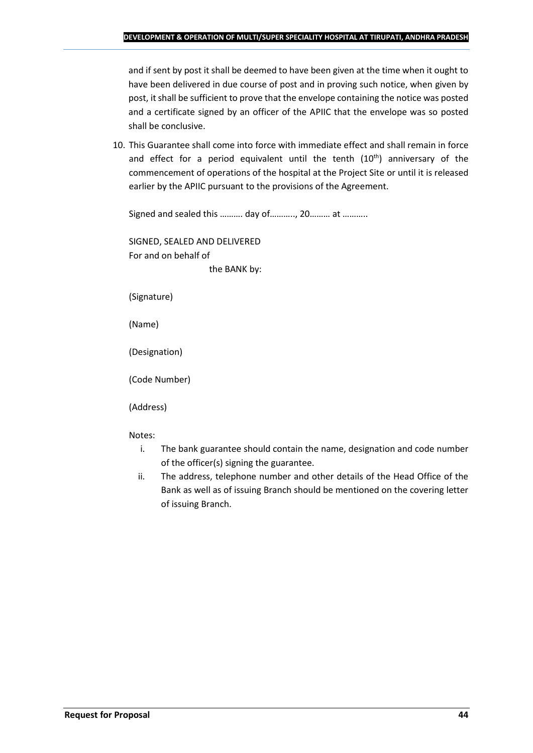and if sent by post it shall be deemed to have been given at the time when it ought to have been delivered in due course of post and in proving such notice, when given by post, it shall be sufficient to prove that the envelope containing the notice was posted and a certificate signed by an officer of the APIIC that the envelope was so posted shall be conclusive.

10. This Guarantee shall come into force with immediate effect and shall remain in force and effect for a period equivalent until the tenth  $(10<sup>th</sup>)$  anniversary of the commencement of operations of the hospital at the Project Site or until it is released earlier by the APIIC pursuant to the provisions of the Agreement.

Signed and sealed this ………. day of……….., 20……… at ………..

SIGNED, SEALED AND DELIVERED For and on behalf of the BANK by:

(Signature)

(Name)

(Designation)

(Code Number)

(Address)

Notes:

- i. The bank guarantee should contain the name, designation and code number of the officer(s) signing the guarantee.
- ii. The address, telephone number and other details of the Head Office of the Bank as well as of issuing Branch should be mentioned on the covering letter of issuing Branch.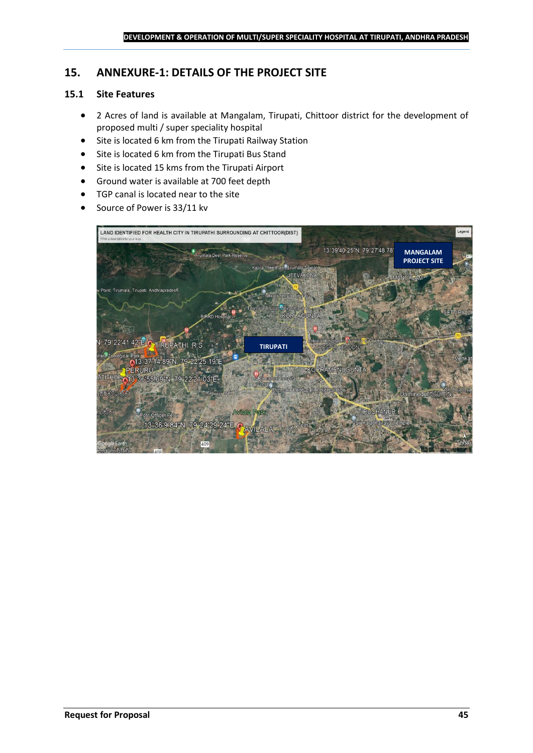## <span id="page-44-0"></span>**15. ANNEXURE-1: DETAILS OF THE PROJECT SITE**

## **15.1 Site Features**

- 2 Acres of land is available at Mangalam, Tirupati, Chittoor district for the development of proposed multi / super speciality hospital
- Site is located 6 km from the Tirupati Railway Station
- Site is located 6 km from the Tirupati Bus Stand
- Site is located 15 kms from the Tirupati Airport
- Ground water is available at 700 feet depth
- TGP canal is located near to the site
- Source of Power is 33/11 kv

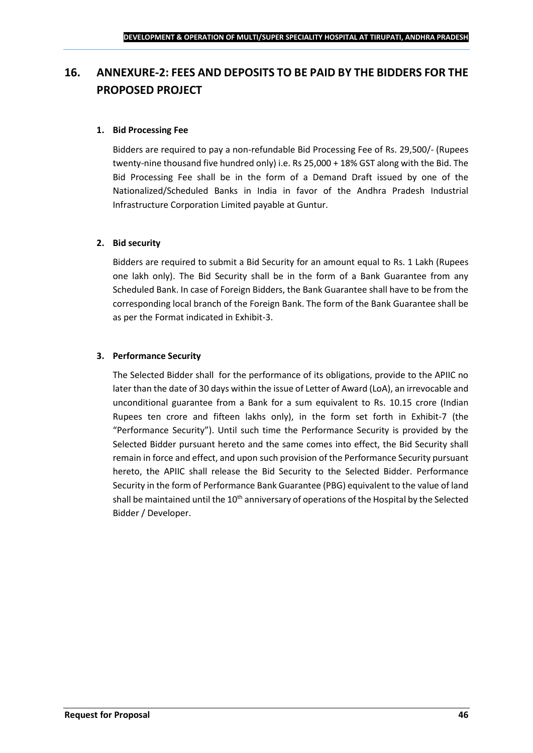## <span id="page-45-0"></span>**16. ANNEXURE-2: FEES AND DEPOSITS TO BE PAID BY THE BIDDERS FOR THE PROPOSED PROJECT**

#### **1. Bid Processing Fee**

Bidders are required to pay a non-refundable Bid Processing Fee of Rs. 29,500/- (Rupees twenty-nine thousand five hundred only) i.e. Rs 25,000 + 18% GST along with the Bid. The Bid Processing Fee shall be in the form of a Demand Draft issued by one of the Nationalized/Scheduled Banks in India in favor of the Andhra Pradesh Industrial Infrastructure Corporation Limited payable at Guntur.

## **2. Bid security**

Bidders are required to submit a Bid Security for an amount equal to Rs. 1 Lakh (Rupees one lakh only). The Bid Security shall be in the form of a Bank Guarantee from any Scheduled Bank. In case of Foreign Bidders, the Bank Guarantee shall have to be from the corresponding local branch of the Foreign Bank. The form of the Bank Guarantee shall be as per the Format indicated in Exhibit-3.

## **3. Performance Security**

The Selected Bidder shall for the performance of its obligations, provide to the APIIC no later than the date of 30 days within the issue of Letter of Award (LoA), an irrevocable and unconditional guarantee from a Bank for a sum equivalent to Rs. 10.15 crore (Indian Rupees ten crore and fifteen lakhs only), in the form set forth in Exhibit-7 (the "Performance Security"). Until such time the Performance Security is provided by the Selected Bidder pursuant hereto and the same comes into effect, the Bid Security shall remain in force and effect, and upon such provision of the Performance Security pursuant hereto, the APIIC shall release the Bid Security to the Selected Bidder. Performance Security in the form of Performance Bank Guarantee (PBG) equivalent to the value of land shall be maintained until the  $10<sup>th</sup>$  anniversary of operations of the Hospital by the Selected Bidder / Developer.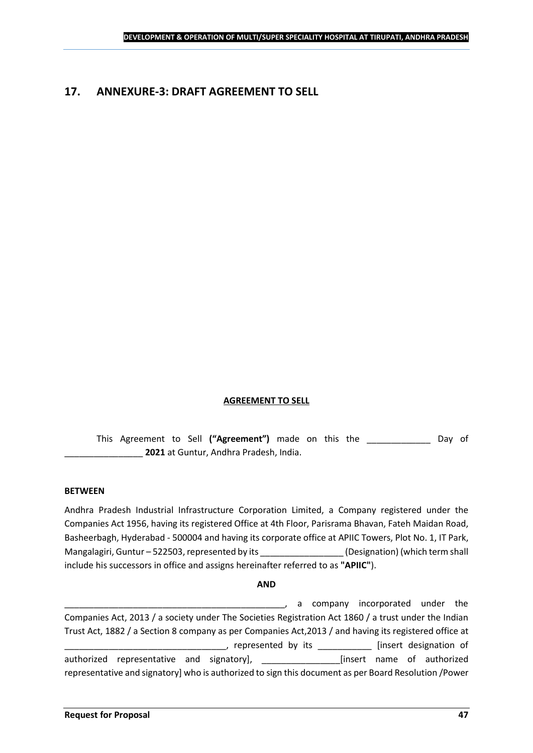## <span id="page-46-0"></span>**17. ANNEXURE-3: DRAFT AGREEMENT TO SELL**

#### **AGREEMENT TO SELL**

This Agreement to Sell **("Agreement")** made on this the \_\_\_\_\_\_\_\_\_\_\_\_\_ Day of \_\_\_\_\_\_\_\_\_\_\_\_\_\_\_\_ **2021** at Guntur, Andhra Pradesh, India.

#### **BETWEEN**

Andhra Pradesh Industrial Infrastructure Corporation Limited, a Company registered under the Companies Act 1956, having its registered Office at 4th Floor, Parisrama Bhavan, Fateh Maidan Road, Basheerbagh, Hyderabad - 500004 and having its corporate office at APIIC Towers, Plot No. 1, IT Park, Mangalagiri, Guntur – 522503, represented by its \_\_\_\_\_\_\_\_\_\_\_\_\_\_\_\_\_\_\_\_\_\_\_\_\_\_\_\_\_\_\_\_<br>(Designation) (which term shall include his successors in office and assigns hereinafter referred to as **"APIIC"**).

#### **AND**

\_\_\_\_\_\_\_\_\_\_\_\_\_\_\_\_\_\_\_\_\_\_\_\_\_\_\_\_\_\_\_\_\_\_\_\_\_\_\_\_\_\_\_\_\_, a company incorporated under the Companies Act, 2013 / a society under The Societies Registration Act 1860 / a trust under the Indian Trust Act, 1882 / a Section 8 company as per Companies Act,2013 / and having its registered office at \_\_\_\_\_, represented by its \_\_\_\_\_\_\_\_\_\_\_\_\_ [insert designation of authorized representative and signatory], \_\_\_\_\_\_\_\_\_\_\_\_\_\_\_\_[insert name of authorized representative and signatory] who is authorized to sign this document as per Board Resolution /Power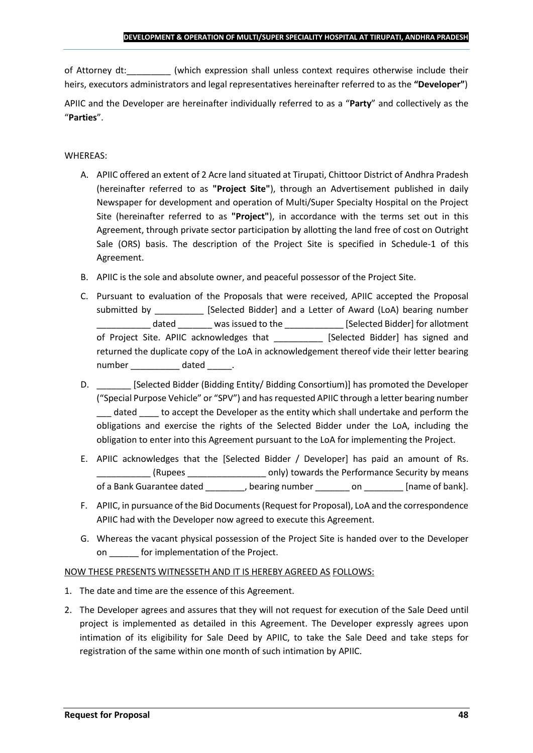of Attorney dt:  $\qquad \qquad$  (which expression shall unless context requires otherwise include their heirs, executors administrators and legal representatives hereinafter referred to as the **"Developer"**)

APIIC and the Developer are hereinafter individually referred to as a "**Party**" and collectively as the "**Parties**".

## WHEREAS:

- A. APIIC offered an extent of 2 Acre land situated at Tirupati, Chittoor District of Andhra Pradesh (hereinafter referred to as **"Project Site"**), through an Advertisement published in daily Newspaper for development and operation of Multi/Super Specialty Hospital on the Project Site (hereinafter referred to as **"Project"**), in accordance with the terms set out in this Agreement, through private sector participation by allotting the land free of cost on Outright Sale (ORS) basis. The description of the Project Site is specified in Schedule-1 of this Agreement.
- B. APIIC is the sole and absolute owner, and peaceful possessor of the Project Site.
- C. Pursuant to evaluation of the Proposals that were received, APIIC accepted the Proposal submitted by [Selected Bidder] and a Letter of Award (LoA) bearing number \_\_\_\_\_\_\_\_\_\_\_ dated \_\_\_\_\_\_\_ was issued to the \_\_\_\_\_\_\_\_\_\_\_\_ [Selected Bidder] for allotment of Project Site. APIIC acknowledges that [Selected Bidder] has signed and returned the duplicate copy of the LoA in acknowledgement thereof vide their letter bearing number dated the dated and the dated and the dated  $\sim$
- D. \_\_\_\_\_\_\_ [Selected Bidder (Bidding Entity/ Bidding Consortium)] has promoted the Developer ("Special Purpose Vehicle" or "SPV") and has requested APIIC through a letter bearing number dated to accept the Developer as the entity which shall undertake and perform the obligations and exercise the rights of the Selected Bidder under the LoA, including the obligation to enter into this Agreement pursuant to the LoA for implementing the Project.
- E. APIIC acknowledges that the [Selected Bidder / Developer] has paid an amount of Rs. \_\_\_\_\_\_\_\_\_\_\_ (Rupees \_\_\_\_\_\_\_\_\_\_\_\_\_\_\_\_ only) towards the Performance Security by means of a Bank Guarantee dated bearing number on the lame of bank].
- F. APIIC, in pursuance of the Bid Documents (Request for Proposal), LoA and the correspondence APIIC had with the Developer now agreed to execute this Agreement.
- G. Whereas the vacant physical possession of the Project Site is handed over to the Developer on \_\_\_\_\_\_ for implementation of the Project.

#### NOW THESE PRESENTS WITNESSETH AND IT IS HEREBY AGREED AS FOLLOWS:

- 1. The date and time are the essence of this Agreement.
- 2. The Developer agrees and assures that they will not request for execution of the Sale Deed until project is implemented as detailed in this Agreement. The Developer expressly agrees upon intimation of its eligibility for Sale Deed by APIIC, to take the Sale Deed and take steps for registration of the same within one month of such intimation by APIIC.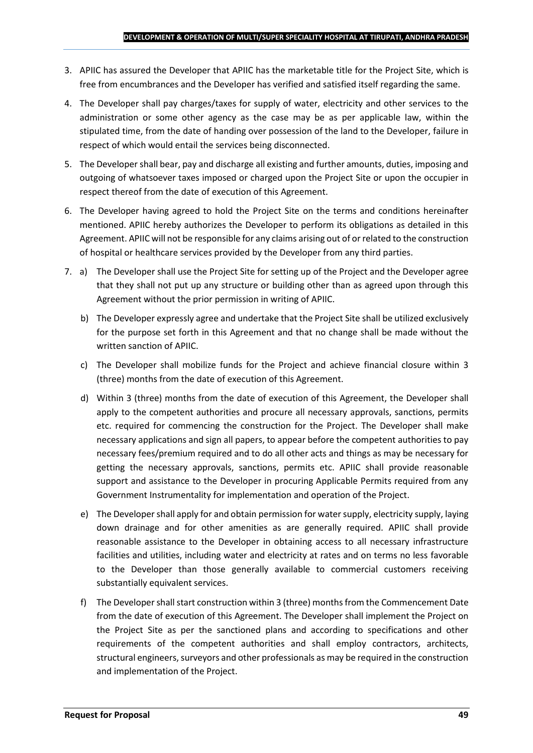- 3. APIIC has assured the Developer that APIIC has the marketable title for the Project Site, which is free from encumbrances and the Developer has verified and satisfied itself regarding the same.
- 4. The Developer shall pay charges/taxes for supply of water, electricity and other services to the administration or some other agency as the case may be as per applicable law, within the stipulated time, from the date of handing over possession of the land to the Developer, failure in respect of which would entail the services being disconnected.
- 5. The Developer shall bear, pay and discharge all existing and further amounts, duties, imposing and outgoing of whatsoever taxes imposed or charged upon the Project Site or upon the occupier in respect thereof from the date of execution of this Agreement.
- 6. The Developer having agreed to hold the Project Site on the terms and conditions hereinafter mentioned. APIIC hereby authorizes the Developer to perform its obligations as detailed in this Agreement. APIIC will not be responsible for any claims arising out of or related to the construction of hospital or healthcare services provided by the Developer from any third parties.
- 7. a) The Developer shall use the Project Site for setting up of the Project and the Developer agree that they shall not put up any structure or building other than as agreed upon through this Agreement without the prior permission in writing of APIIC.
	- b) The Developer expressly agree and undertake that the Project Site shall be utilized exclusively for the purpose set forth in this Agreement and that no change shall be made without the written sanction of APIIC.
	- c) The Developer shall mobilize funds for the Project and achieve financial closure within 3 (three) months from the date of execution of this Agreement.
	- d) Within 3 (three) months from the date of execution of this Agreement, the Developer shall apply to the competent authorities and procure all necessary approvals, sanctions, permits etc. required for commencing the construction for the Project. The Developer shall make necessary applications and sign all papers, to appear before the competent authorities to pay necessary fees/premium required and to do all other acts and things as may be necessary for getting the necessary approvals, sanctions, permits etc. APIIC shall provide reasonable support and assistance to the Developer in procuring Applicable Permits required from any Government Instrumentality for implementation and operation of the Project.
	- e) The Developer shall apply for and obtain permission for water supply, electricity supply, laying down drainage and for other amenities as are generally required. APIIC shall provide reasonable assistance to the Developer in obtaining access to all necessary infrastructure facilities and utilities, including water and electricity at rates and on terms no less favorable to the Developer than those generally available to commercial customers receiving substantially equivalent services.
	- f) The Developer shall start construction within 3 (three) months from the Commencement Date from the date of execution of this Agreement. The Developer shall implement the Project on the Project Site as per the sanctioned plans and according to specifications and other requirements of the competent authorities and shall employ contractors, architects, structural engineers, surveyors and other professionals as may be required in the construction and implementation of the Project.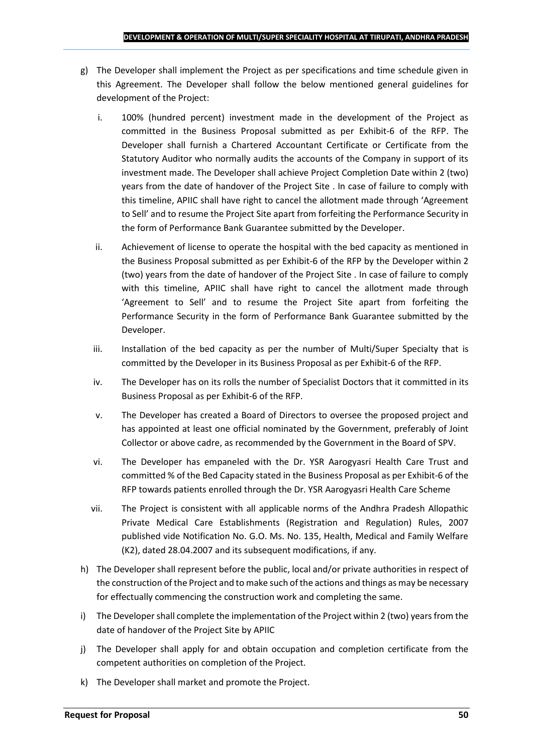- g) The Developer shall implement the Project as per specifications and time schedule given in this Agreement. The Developer shall follow the below mentioned general guidelines for development of the Project:
	- i. 100% (hundred percent) investment made in the development of the Project as committed in the Business Proposal submitted as per Exhibit-6 of the RFP. The Developer shall furnish a Chartered Accountant Certificate or Certificate from the Statutory Auditor who normally audits the accounts of the Company in support of its investment made. The Developer shall achieve Project Completion Date within 2 (two) years from the date of handover of the Project Site . In case of failure to comply with this timeline, APIIC shall have right to cancel the allotment made through 'Agreement to Sell' and to resume the Project Site apart from forfeiting the Performance Security in the form of Performance Bank Guarantee submitted by the Developer.
	- ii. Achievement of license to operate the hospital with the bed capacity as mentioned in the Business Proposal submitted as per Exhibit-6 of the RFP by the Developer within 2 (two) years from the date of handover of the Project Site . In case of failure to comply with this timeline, APIIC shall have right to cancel the allotment made through 'Agreement to Sell' and to resume the Project Site apart from forfeiting the Performance Security in the form of Performance Bank Guarantee submitted by the Developer.
	- iii. Installation of the bed capacity as per the number of Multi/Super Specialty that is committed by the Developer in its Business Proposal as per Exhibit-6 of the RFP.
	- iv. The Developer has on its rolls the number of Specialist Doctors that it committed in its Business Proposal as per Exhibit-6 of the RFP.
	- v. The Developer has created a Board of Directors to oversee the proposed project and has appointed at least one official nominated by the Government, preferably of Joint Collector or above cadre, as recommended by the Government in the Board of SPV.
	- vi. The Developer has empaneled with the Dr. YSR Aarogyasri Health Care Trust and committed % of the Bed Capacity stated in the Business Proposal as per Exhibit-6 of the RFP towards patients enrolled through the Dr. YSR Aarogyasri Health Care Scheme
	- vii. The Project is consistent with all applicable norms of the Andhra Pradesh Allopathic Private Medical Care Establishments (Registration and Regulation) Rules, 2007 published vide Notification No. G.O. Ms. No. 135, Health, Medical and Family Welfare (K2), dated 28.04.2007 and its subsequent modifications, if any.
- h) The Developer shall represent before the public, local and/or private authorities in respect of the construction of the Project and to make such of the actions and things as may be necessary for effectually commencing the construction work and completing the same.
- i) The Developer shall complete the implementation of the Project within 2 (two) years from the date of handover of the Project Site by APIIC
- j) The Developer shall apply for and obtain occupation and completion certificate from the competent authorities on completion of the Project.
- k) The Developer shall market and promote the Project.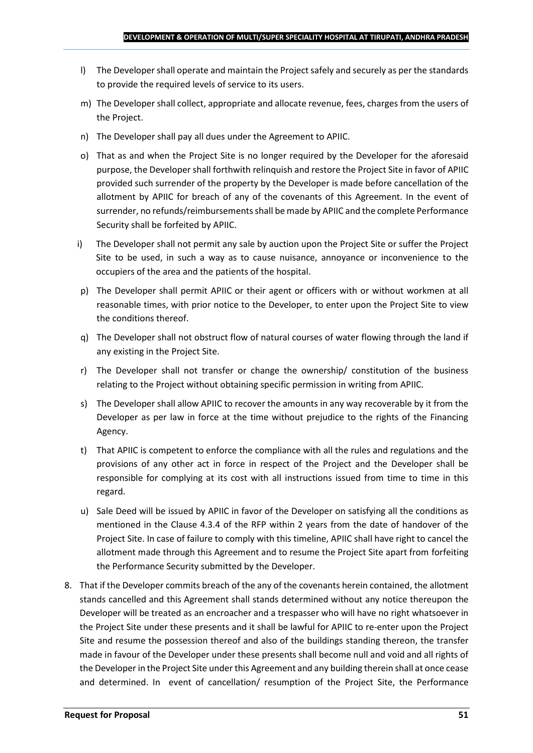- l) The Developer shall operate and maintain the Project safely and securely as per the standards to provide the required levels of service to its users.
- m) The Developer shall collect, appropriate and allocate revenue, fees, charges from the users of the Project.
- n) The Developer shall pay all dues under the Agreement to APIIC.
- o) That as and when the Project Site is no longer required by the Developer for the aforesaid purpose, the Developer shall forthwith relinquish and restore the Project Site in favor of APIIC provided such surrender of the property by the Developer is made before cancellation of the allotment by APIIC for breach of any of the covenants of this Agreement. In the event of surrender, no refunds/reimbursements shall be made by APIIC and the complete Performance Security shall be forfeited by APIIC.
- i) The Developer shall not permit any sale by auction upon the Project Site or suffer the Project Site to be used, in such a way as to cause nuisance, annoyance or inconvenience to the occupiers of the area and the patients of the hospital.
- p) The Developer shall permit APIIC or their agent or officers with or without workmen at all reasonable times, with prior notice to the Developer, to enter upon the Project Site to view the conditions thereof.
- q) The Developer shall not obstruct flow of natural courses of water flowing through the land if any existing in the Project Site.
- r) The Developer shall not transfer or change the ownership/ constitution of the business relating to the Project without obtaining specific permission in writing from APIIC.
- s) The Developer shall allow APIIC to recover the amounts in any way recoverable by it from the Developer as per law in force at the time without prejudice to the rights of the Financing Agency.
- t) That APIIC is competent to enforce the compliance with all the rules and regulations and the provisions of any other act in force in respect of the Project and the Developer shall be responsible for complying at its cost with all instructions issued from time to time in this regard.
- u) Sale Deed will be issued by APIIC in favor of the Developer on satisfying all the conditions as mentioned in the Clause 4.3.4 of the RFP within 2 years from the date of handover of the Project Site. In case of failure to comply with this timeline, APIIC shall have right to cancel the allotment made through this Agreement and to resume the Project Site apart from forfeiting the Performance Security submitted by the Developer.
- 8. That if the Developer commits breach of the any of the covenants herein contained, the allotment stands cancelled and this Agreement shall stands determined without any notice thereupon the Developer will be treated as an encroacher and a trespasser who will have no right whatsoever in the Project Site under these presents and it shall be lawful for APIIC to re-enter upon the Project Site and resume the possession thereof and also of the buildings standing thereon, the transfer made in favour of the Developer under these presents shall become null and void and all rights of the Developer in the Project Site under this Agreement and any building therein shall at once cease and determined. In event of cancellation/ resumption of the Project Site, the Performance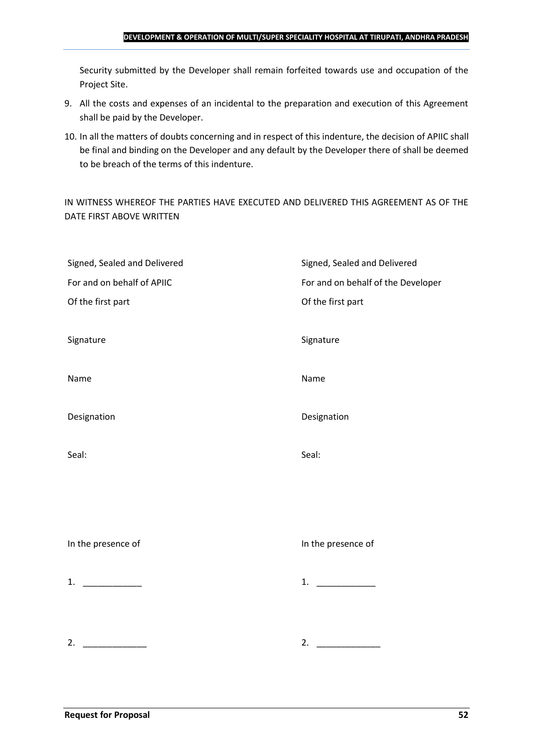#### **DEVELOPMENT & OPERATION OF MULTI/SUPER SPECIALITY HOSPITAL AT TIRUPATI, ANDHRA PRADESH**

Security submitted by the Developer shall remain forfeited towards use and occupation of the Project Site.

- 9. All the costs and expenses of an incidental to the preparation and execution of this Agreement shall be paid by the Developer.
- 10. In all the matters of doubts concerning and in respect of this indenture, the decision of APIIC shall be final and binding on the Developer and any default by the Developer there of shall be deemed to be breach of the terms of this indenture.

IN WITNESS WHEREOF THE PARTIES HAVE EXECUTED AND DELIVERED THIS AGREEMENT AS OF THE DATE FIRST ABOVE WRITTEN

| Signed, Sealed and Delivered | Signed, Sealed and Delivered       |
|------------------------------|------------------------------------|
| For and on behalf of APIIC   | For and on behalf of the Developer |
| Of the first part            | Of the first part                  |
|                              |                                    |
| Signature                    | Signature                          |
|                              |                                    |
| Name                         | Name                               |
|                              |                                    |
| Designation                  | Designation                        |
|                              |                                    |
| Seal:                        | Seal:                              |
|                              |                                    |
|                              |                                    |
|                              |                                    |
|                              |                                    |
| In the presence of           | In the presence of                 |
|                              |                                    |
| 1. $\qquad$                  | 1.                                 |
|                              |                                    |
|                              |                                    |
| 2.                           | 2. $\qquad \qquad$                 |
|                              |                                    |